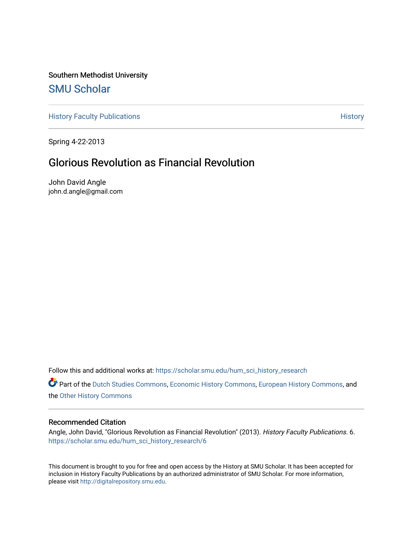Southern Methodist University [SMU Scholar](https://scholar.smu.edu/) 

[History Faculty Publications](https://scholar.smu.edu/hum_sci_history_research) **History** History

Spring 4-22-2013

# Glorious Revolution as Financial Revolution

John David Angle john.d.angle@gmail.com

Follow this and additional works at: [https://scholar.smu.edu/hum\\_sci\\_history\\_research](https://scholar.smu.edu/hum_sci_history_research?utm_source=scholar.smu.edu%2Fhum_sci_history_research%2F6&utm_medium=PDF&utm_campaign=PDFCoverPages) 

Part of the [Dutch Studies Commons,](http://network.bepress.com/hgg/discipline/478?utm_source=scholar.smu.edu%2Fhum_sci_history_research%2F6&utm_medium=PDF&utm_campaign=PDFCoverPages) [Economic History Commons](http://network.bepress.com/hgg/discipline/343?utm_source=scholar.smu.edu%2Fhum_sci_history_research%2F6&utm_medium=PDF&utm_campaign=PDFCoverPages), [European History Commons](http://network.bepress.com/hgg/discipline/492?utm_source=scholar.smu.edu%2Fhum_sci_history_research%2F6&utm_medium=PDF&utm_campaign=PDFCoverPages), and the [Other History Commons](http://network.bepress.com/hgg/discipline/508?utm_source=scholar.smu.edu%2Fhum_sci_history_research%2F6&utm_medium=PDF&utm_campaign=PDFCoverPages) 

#### Recommended Citation

Angle, John David, "Glorious Revolution as Financial Revolution" (2013). History Faculty Publications. 6. [https://scholar.smu.edu/hum\\_sci\\_history\\_research/6](https://scholar.smu.edu/hum_sci_history_research/6?utm_source=scholar.smu.edu%2Fhum_sci_history_research%2F6&utm_medium=PDF&utm_campaign=PDFCoverPages)

This document is brought to you for free and open access by the History at SMU Scholar. It has been accepted for inclusion in History Faculty Publications by an authorized administrator of SMU Scholar. For more information, please visit [http://digitalrepository.smu.edu.](http://digitalrepository.smu.edu/)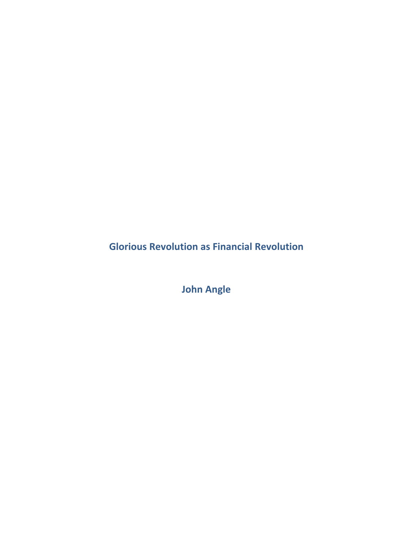**Glorious Revolution as Financial Revolution** 

**John Angle**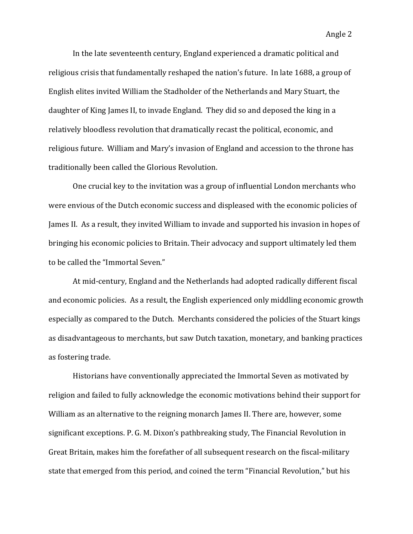In the late seventeenth century, England experienced a dramatic political and religious crisis that fundamentally reshaped the nation's future. In late 1688, a group of English elites invited William the Stadholder of the Netherlands and Mary Stuart, the daughter of King James II, to invade England. They did so and deposed the king in a relatively bloodless revolution that dramatically recast the political, economic, and religious future. William and Mary's invasion of England and accession to the throne has traditionally been called the Glorious Revolution.

One crucial key to the invitation was a group of influential London merchants who were envious of the Dutch economic success and displeased with the economic policies of James II. As a result, they invited William to invade and supported his invasion in hopes of bringing his economic policies to Britain. Their advocacy and support ultimately led them to be called the "Immortal Seven."

At mid-century, England and the Netherlands had adopted radically different fiscal and economic policies. As a result, the English experienced only middling economic growth especially as compared to the Dutch. Merchants considered the policies of the Stuart kings as disadvantageous to merchants, but saw Dutch taxation, monetary, and banking practices as fostering trade.

Historians have conventionally appreciated the Immortal Seven as motivated by religion and failed to fully acknowledge the economic motivations behind their support for William as an alternative to the reigning monarch James II. There are, however, some significant exceptions. P. G. M. Dixon's pathbreaking study, The Financial Revolution in Great Britain, makes him the forefather of all subsequent research on the fiscal-military state that emerged from this period, and coined the term "Financial Revolution," but his

Angle 2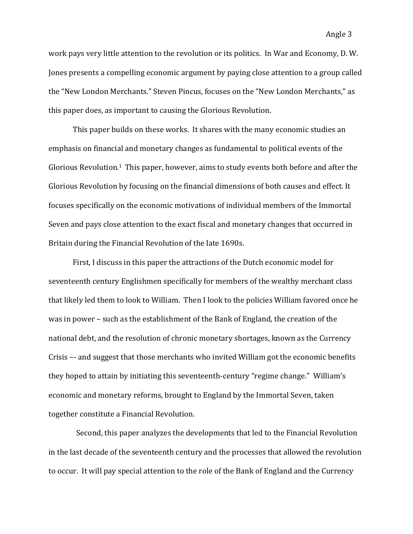work pays very little attention to the revolution or its politics. In War and Economy, D. W. Jones presents a compelling economic argument by paying close attention to a group called the "New London Merchants." Steven Pincus, focuses on the "New London Merchants," as this paper does, as important to causing the Glorious Revolution.

This paper builds on these works. It shares with the many economic studies an emphasis on financial and monetary changes as fundamental to political events of the Glorious Revolution.<sup>1</sup> This paper, however, aims to study events both before and after the Glorious Revolution by focusing on the financial dimensions of both causes and effect. It focuses specifically on the economic motivations of individual members of the Immortal Seven and pays close attention to the exact fiscal and monetary changes that occurred in Britain during the Financial Revolution of the late 1690s.

First, I discuss in this paper the attractions of the Dutch economic model for seventeenth century Englishmen specifically for members of the wealthy merchant class that likely led them to look to William. Then I look to the policies William favored once he was in power – such as the establishment of the Bank of England, the creation of the national debt, and the resolution of chronic monetary shortages, known as the Currency Crisis –- and suggest that those merchants who invited William got the economic benefits they hoped to attain by initiating this seventeenth-century "regime change." William's economic and monetary reforms, brought to England by the Immortal Seven, taken together constitute a Financial Revolution.

Second, this paper analyzes the developments that led to the Financial Revolution in the last decade of the seventeenth century and the processes that allowed the revolution to occur. It will pay special attention to the role of the Bank of England and the Currency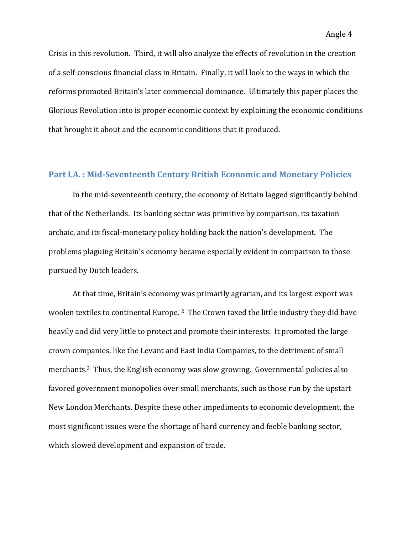Crisis in this revolution. Third, it will also analyze the effects of revolution in the creation of a self-conscious financial class in Britain. Finally, it will look to the ways in which the reforms promoted Britain's later commercial dominance. Ultimately this paper places the Glorious Revolution into is proper economic context by explaining the economic conditions that brought it about and the economic conditions that it produced.

## **Part I.A.: Mid-Seventeenth Century British Economic and Monetary Policies**

In the mid-seventeenth century, the economy of Britain lagged significantly behind that of the Netherlands. Its banking sector was primitive by comparison, its taxation archaic, and its fiscal-monetary policy holding back the nation's development. The problems plaguing Britain's economy became especially evident in comparison to those pursued by Dutch leaders.

At that time, Britain's economy was primarily agrarian, and its largest export was woolen textiles to continental Europe.<sup>2</sup> The Crown taxed the little industry they did have heavily and did very little to protect and promote their interests. It promoted the large crown companies, like the Levant and East India Companies, to the detriment of small merchants.<sup>3</sup> Thus, the English economy was slow growing. Governmental policies also favored government monopolies over small merchants, such as those run by the upstart New London Merchants. Despite these other impediments to economic development, the most significant issues were the shortage of hard currency and feeble banking sector, which slowed development and expansion of trade.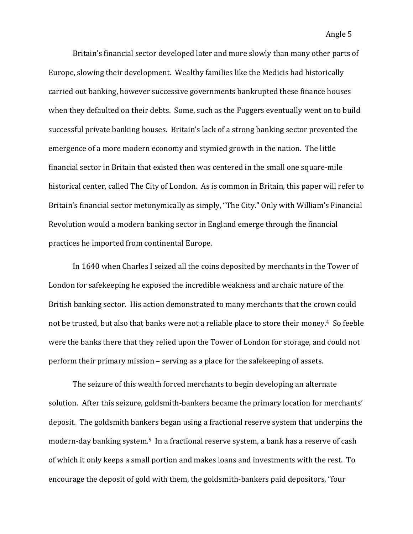Britain's financial sector developed later and more slowly than many other parts of Europe, slowing their development. Wealthy families like the Medicis had historically carried out banking, however successive governments bankrupted these finance houses when they defaulted on their debts. Some, such as the Fuggers eventually went on to build successful private banking houses. Britain's lack of a strong banking sector prevented the emergence of a more modern economy and stymied growth in the nation. The little financial sector in Britain that existed then was centered in the small one square-mile historical center, called The City of London. As is common in Britain, this paper will refer to Britain's financial sector metonymically as simply, "The City." Only with William's Financial Revolution would a modern banking sector in England emerge through the financial practices he imported from continental Europe.

In 1640 when Charles I seized all the coins deposited by merchants in the Tower of London for safekeeping he exposed the incredible weakness and archaic nature of the British banking sector. His action demonstrated to many merchants that the crown could not be trusted, but also that banks were not a reliable place to store their money.<sup>4</sup> So feeble were the banks there that they relied upon the Tower of London for storage, and could not perform their primary mission – serving as a place for the safekeeping of assets.

The seizure of this wealth forced merchants to begin developing an alternate solution. After this seizure, goldsmith-bankers became the primary location for merchants' deposit. The goldsmith bankers began using a fractional reserve system that underpins the modern-day banking system.<sup>5</sup> In a fractional reserve system, a bank has a reserve of cash of which it only keeps a small portion and makes loans and investments with the rest. To encourage the deposit of gold with them, the goldsmith-bankers paid depositors, "four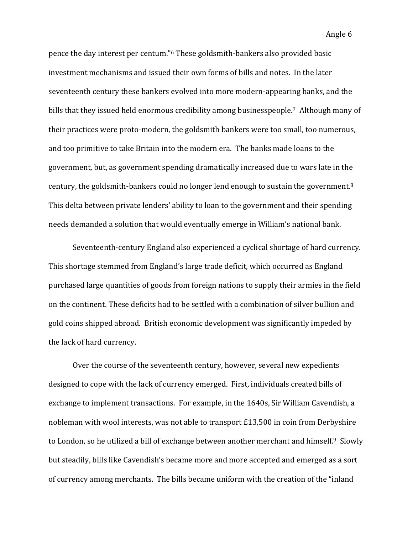Angle 6

pence the day interest per centum."<sup>6</sup> These goldsmith-bankers also provided basic investment mechanisms and issued their own forms of bills and notes. In the later seventeenth century these bankers evolved into more modern-appearing banks, and the bills that they issued held enormous credibility among businesspeople.<sup>7</sup> Although many of their practices were proto-modern, the goldsmith bankers were too small, too numerous, and too primitive to take Britain into the modern era. The banks made loans to the government, but, as government spending dramatically increased due to wars late in the century, the goldsmith-bankers could no longer lend enough to sustain the government. $8$ This delta between private lenders' ability to loan to the government and their spending needs demanded a solution that would eventually emerge in William's national bank.

Seventeenth-century England also experienced a cyclical shortage of hard currency. This shortage stemmed from England's large trade deficit, which occurred as England purchased large quantities of goods from foreign nations to supply their armies in the field on the continent. These deficits had to be settled with a combination of silver bullion and gold coins shipped abroad. British economic development was significantly impeded by the lack of hard currency.

Over the course of the seventeenth century, however, several new expedients designed to cope with the lack of currency emerged. First, individuals created bills of exchange to implement transactions. For example, in the 1640s, Sir William Cavendish, a nobleman with wool interests, was not able to transport  $£13,500$  in coin from Derbyshire to London, so he utilized a bill of exchange between another merchant and himself.<sup>9</sup> Slowly but steadily, bills like Cavendish's became more and more accepted and emerged as a sort of currency among merchants. The bills became uniform with the creation of the "inland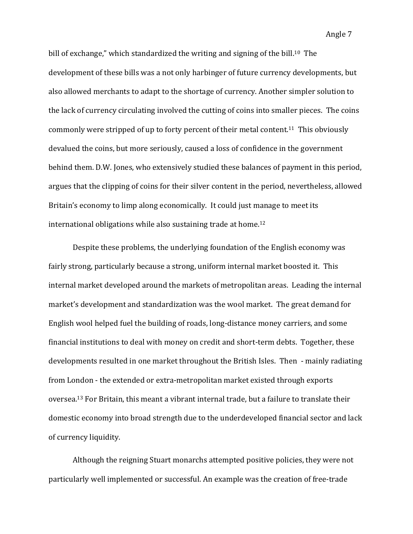Angle 7

bill of exchange," which standardized the writing and signing of the bill.<sup>10</sup> The development of these bills was a not only harbinger of future currency developments, but also allowed merchants to adapt to the shortage of currency. Another simpler solution to the lack of currency circulating involved the cutting of coins into smaller pieces. The coins commonly were stripped of up to forty percent of their metal content.<sup>11</sup> This obviously devalued the coins, but more seriously, caused a loss of confidence in the government behind them. D.W. Jones, who extensively studied these balances of payment in this period, argues that the clipping of coins for their silver content in the period, nevertheless, allowed Britain's economy to limp along economically. It could just manage to meet its international obligations while also sustaining trade at home.<sup>12</sup>

Despite these problems, the underlying foundation of the English economy was fairly strong, particularly because a strong, uniform internal market boosted it. This internal market developed around the markets of metropolitan areas. Leading the internal market's development and standardization was the wool market. The great demand for English wool helped fuel the building of roads, long-distance money carriers, and some financial institutions to deal with money on credit and short-term debts. Together, these developments resulted in one market throughout the British Isles. Then - mainly radiating from London - the extended or extra-metropolitan market existed through exports oversea.<sup>13</sup> For Britain, this meant a vibrant internal trade, but a failure to translate their domestic economy into broad strength due to the underdeveloped financial sector and lack of currency liquidity.

Although the reigning Stuart monarchs attempted positive policies, they were not particularly well implemented or successful. An example was the creation of free-trade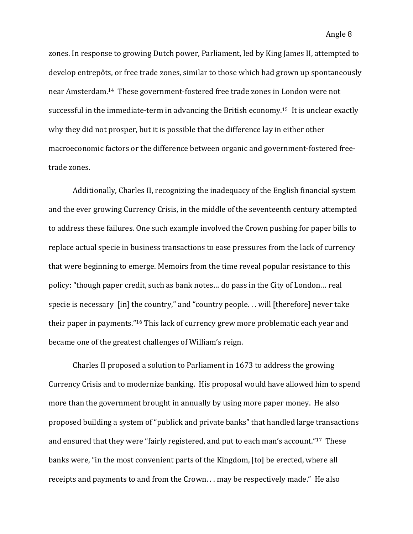zones. In response to growing Dutch power, Parliament, led by King James II, attempted to develop entrepôts, or free trade zones, similar to those which had grown up spontaneously near Amsterdam.<sup>14</sup> These government-fostered free trade zones in London were not successful in the immediate-term in advancing the British economy.<sup>15</sup> It is unclear exactly why they did not prosper, but it is possible that the difference lay in either other macroeconomic factors or the difference between organic and government-fostered freetrade zones.

Additionally, Charles II, recognizing the inadequacy of the English financial system and the ever growing Currency Crisis, in the middle of the seventeenth century attempted to address these failures. One such example involved the Crown pushing for paper bills to replace actual specie in business transactions to ease pressures from the lack of currency that were beginning to emerge. Memoirs from the time reveal popular resistance to this policy: "though paper credit, such as bank notes... do pass in the City of London... real specie is necessary  $\lceil$ in] the country," and "country people. . . will  $\lceil$ therefore $\rceil$  never take their paper in payments."<sup>16</sup> This lack of currency grew more problematic each year and became one of the greatest challenges of William's reign.

Charles II proposed a solution to Parliament in  $1673$  to address the growing Currency Crisis and to modernize banking. His proposal would have allowed him to spend more than the government brought in annually by using more paper money. He also proposed building a system of "publick and private banks" that handled large transactions and ensured that they were "fairly registered, and put to each man's account."<sup>17</sup> These banks were, "in the most convenient parts of the Kingdom, [to] be erected, where all receipts and payments to and from the Crown. . . may be respectively made." He also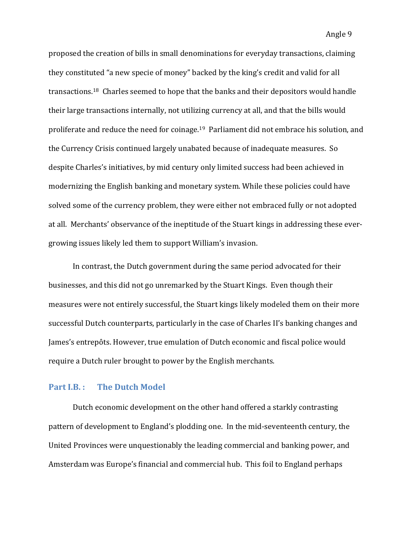proposed the creation of bills in small denominations for everyday transactions, claiming they constituted "a new specie of money" backed by the king's credit and valid for all transactions.<sup>18</sup> Charles seemed to hope that the banks and their depositors would handle their large transactions internally, not utilizing currency at all, and that the bills would proliferate and reduce the need for coinage.<sup>19</sup> Parliament did not embrace his solution, and the Currency Crisis continued largely unabated because of inadequate measures. So despite Charles's initiatives, by mid century only limited success had been achieved in modernizing the English banking and monetary system. While these policies could have solved some of the currency problem, they were either not embraced fully or not adopted at all. Merchants' observance of the ineptitude of the Stuart kings in addressing these evergrowing issues likely led them to support William's invasion.

In contrast, the Dutch government during the same period advocated for their businesses, and this did not go unremarked by the Stuart Kings. Even though their measures were not entirely successful, the Stuart kings likely modeled them on their more successful Dutch counterparts, particularly in the case of Charles II's banking changes and James's entrepôts. However, true emulation of Dutch economic and fiscal police would require a Dutch ruler brought to power by the English merchants.

#### **Part I.B.:** The Dutch Model

Dutch economic development on the other hand offered a starkly contrasting pattern of development to England's plodding one. In the mid-seventeenth century, the United Provinces were unquestionably the leading commercial and banking power, and Amsterdam was Europe's financial and commercial hub. This foil to England perhaps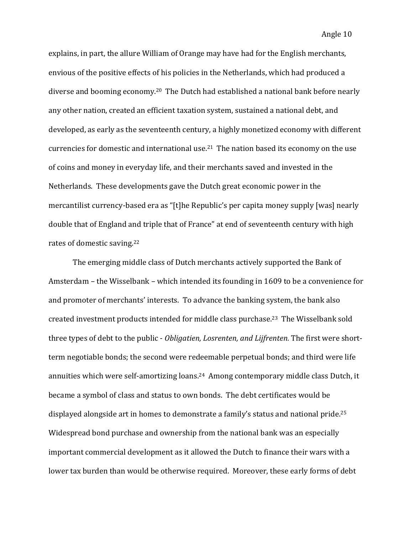explains, in part, the allure William of Orange may have had for the English merchants, envious of the positive effects of his policies in the Netherlands, which had produced a diverse and booming economy.<sup>20</sup> The Dutch had established a national bank before nearly any other nation, created an efficient taxation system, sustained a national debt, and developed, as early as the seventeenth century, a highly monetized economy with different currencies for domestic and international use.<sup>21</sup> The nation based its economy on the use of coins and money in everyday life, and their merchants saved and invested in the Netherlands. These developments gave the Dutch great economic power in the mercantilist currency-based era as "[t]he Republic's per capita money supply [was] nearly double that of England and triple that of France" at end of seventeenth century with high rates of domestic saving.<sup>22</sup>

The emerging middle class of Dutch merchants actively supported the Bank of Amsterdam – the Wisselbank – which intended its founding in 1609 to be a convenience for and promoter of merchants' interests. To advance the banking system, the bank also created investment products intended for middle class purchase.<sup>23</sup> The Wisselbank sold three types of debt to the public - *Obligatien, Losrenten, and Lijfrenten.* The first were shortterm negotiable bonds; the second were redeemable perpetual bonds; and third were life annuities which were self-amortizing loans.<sup>24</sup> Among contemporary middle class Dutch, it became a symbol of class and status to own bonds. The debt certificates would be displayed alongside art in homes to demonstrate a family's status and national pride.<sup>25</sup> Widespread bond purchase and ownership from the national bank was an especially important commercial development as it allowed the Dutch to finance their wars with a lower tax burden than would be otherwise required. Moreover, these early forms of debt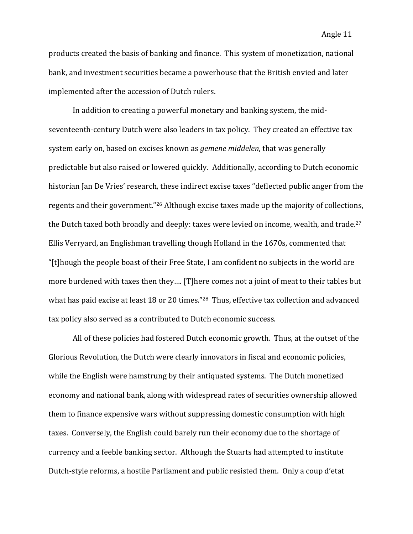products created the basis of banking and finance. This system of monetization, national bank, and investment securities became a powerhouse that the British envied and later implemented after the accession of Dutch rulers.

In addition to creating a powerful monetary and banking system, the midseventeenth-century Dutch were also leaders in tax policy. They created an effective tax system early on, based on excises known as *gemene middelen*, that was generally predictable but also raised or lowered quickly. Additionally, according to Dutch economic historian Ian De Vries' research, these indirect excise taxes "deflected public anger from the regents and their government."<sup>26</sup> Although excise taxes made up the majority of collections, the Dutch taxed both broadly and deeply: taxes were levied on income, wealth, and trade.<sup>27</sup> Ellis Verryard, an Englishman travelling though Holland in the 1670s, commented that "[t]hough the people boast of their Free State, I am confident no subjects in the world are more burdened with taxes then they.... [T]here comes not a joint of meat to their tables but what has paid excise at least 18 or 20 times."<sup>28</sup> Thus, effective tax collection and advanced tax policy also served as a contributed to Dutch economic success.

All of these policies had fostered Dutch economic growth. Thus, at the outset of the Glorious Revolution, the Dutch were clearly innovators in fiscal and economic policies, while the English were hamstrung by their antiquated systems. The Dutch monetized economy and national bank, along with widespread rates of securities ownership allowed them to finance expensive wars without suppressing domestic consumption with high taxes. Conversely, the English could barely run their economy due to the shortage of currency and a feeble banking sector. Although the Stuarts had attempted to institute Dutch-style reforms, a hostile Parliament and public resisted them. Only a coup d'etat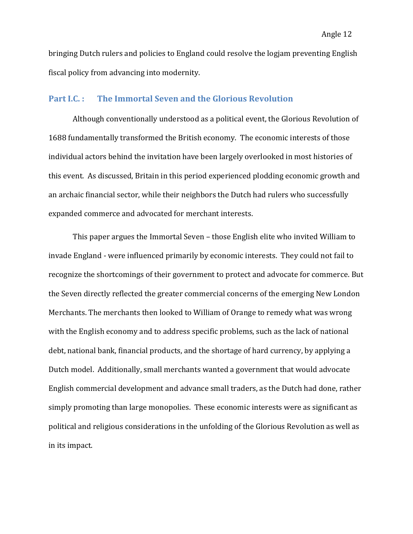bringing Dutch rulers and policies to England could resolve the logiam preventing English fiscal policy from advancing into modernity.

## **Part I.C.:** The Immortal Seven and the Glorious Revolution

Although conventionally understood as a political event, the Glorious Revolution of 1688 fundamentally transformed the British economy. The economic interests of those individual actors behind the invitation have been largely overlooked in most histories of this event. As discussed, Britain in this period experienced plodding economic growth and an archaic financial sector, while their neighbors the Dutch had rulers who successfully expanded commerce and advocated for merchant interests.

This paper argues the Immortal Seven – those English elite who invited William to invade England - were influenced primarily by economic interests. They could not fail to recognize the shortcomings of their government to protect and advocate for commerce. But the Seven directly reflected the greater commercial concerns of the emerging New London Merchants. The merchants then looked to William of Orange to remedy what was wrong with the English economy and to address specific problems, such as the lack of national debt, national bank, financial products, and the shortage of hard currency, by applying a Dutch model. Additionally, small merchants wanted a government that would advocate English commercial development and advance small traders, as the Dutch had done, rather simply promoting than large monopolies. These economic interests were as significant as political and religious considerations in the unfolding of the Glorious Revolution as well as in its impact.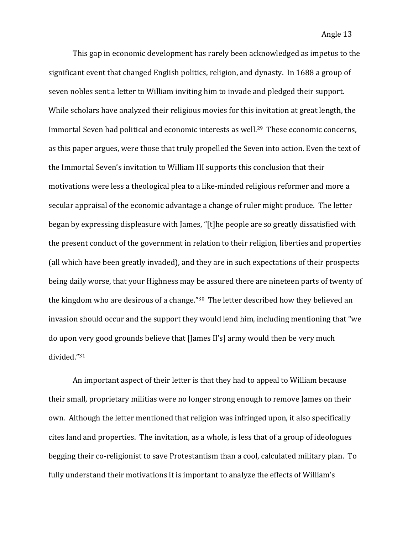This gap in economic development has rarely been acknowledged as impetus to the significant event that changed English politics, religion, and dynasty. In 1688 a group of seven nobles sent a letter to William inviting him to invade and pledged their support. While scholars have analyzed their religious movies for this invitation at great length, the Immortal Seven had political and economic interests as well.<sup>29</sup> These economic concerns, as this paper argues, were those that truly propelled the Seven into action. Even the text of the Immortal Seven's invitation to William III supports this conclusion that their motivations were less a theological plea to a like-minded religious reformer and more a secular appraisal of the economic advantage a change of ruler might produce. The letter began by expressing displeasure with James, "[t]he people are so greatly dissatisfied with the present conduct of the government in relation to their religion, liberties and properties (all which have been greatly invaded), and they are in such expectations of their prospects being daily worse, that your Highness may be assured there are nineteen parts of twenty of the kingdom who are desirous of a change." $30$  The letter described how they believed an invasion should occur and the support they would lend him, including mentioning that "we do upon very good grounds believe that [James II's] army would then be very much divided."31 

An important aspect of their letter is that they had to appeal to William because their small, proprietary militias were no longer strong enough to remove James on their own. Although the letter mentioned that religion was infringed upon, it also specifically cites land and properties. The invitation, as a whole, is less that of a group of ideologues begging their co-religionist to save Protestantism than a cool, calculated military plan. To fully understand their motivations it is important to analyze the effects of William's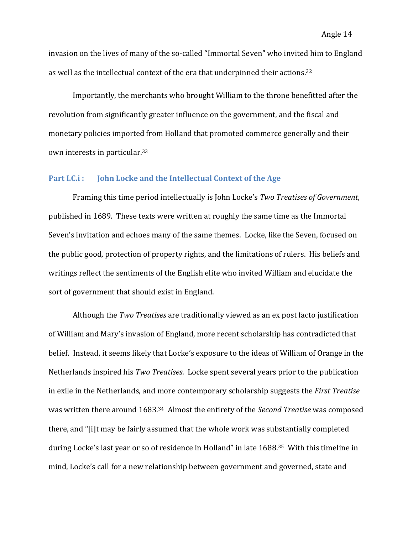invasion on the lives of many of the so-called "Immortal Seven" who invited him to England as well as the intellectual context of the era that underpinned their actions.<sup>32</sup>

Importantly, the merchants who brought William to the throne benefitted after the revolution from significantly greater influence on the government, and the fiscal and monetary policies imported from Holland that promoted commerce generally and their own interests in particular.<sup>33</sup>

# **Part I.C.i**: **John Locke and the Intellectual Context of the Age**

Framing this time period intellectually is John Locke's *Two Treatises of Government*, published in 1689. These texts were written at roughly the same time as the Immortal Seven's invitation and echoes many of the same themes. Locke, like the Seven, focused on the public good, protection of property rights, and the limitations of rulers. His beliefs and writings reflect the sentiments of the English elite who invited William and elucidate the sort of government that should exist in England.

Although the *Two Treatises* are traditionally viewed as an ex post facto justification of William and Mary's invasion of England, more recent scholarship has contradicted that belief. Instead, it seems likely that Locke's exposure to the ideas of William of Orange in the Netherlands inspired his *Two Treatises*. Locke spent several years prior to the publication in exile in the Netherlands, and more contemporary scholarship suggests the *First Treatise* was written there around 1683.<sup>34</sup> Almost the entirety of the *Second Treatise* was composed there, and "[i]t may be fairly assumed that the whole work was substantially completed during Locke's last year or so of residence in Holland" in late 1688.<sup>35</sup> With this timeline in mind, Locke's call for a new relationship between government and governed, state and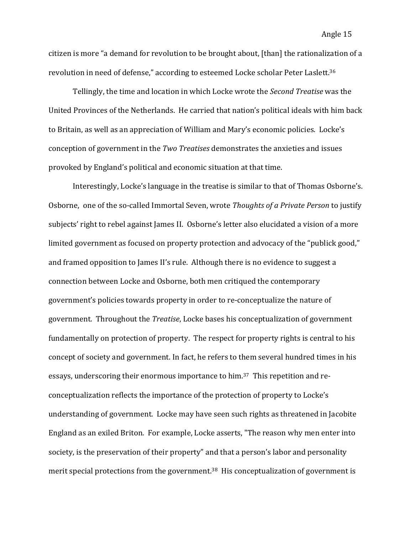citizen is more "a demand for revolution to be brought about, [than] the rationalization of a revolution in need of defense," according to esteemed Locke scholar Peter Laslett.<sup>36</sup>

Tellingly, the time and location in which Locke wrote the *Second Treatise* was the United Provinces of the Netherlands. He carried that nation's political ideals with him back to Britain, as well as an appreciation of William and Mary's economic policies. Locke's conception of government in the *Two Treatises* demonstrates the anxieties and issues provoked by England's political and economic situation at that time.

Interestingly, Locke's language in the treatise is similar to that of Thomas Osborne's. Osborne, one of the so-called Immortal Seven, wrote *Thoughts of a Private Person* to justify subjects' right to rebel against James II. Osborne's letter also elucidated a vision of a more limited government as focused on property protection and advocacy of the "publick good," and framed opposition to James II's rule. Although there is no evidence to suggest a connection between Locke and Osborne, both men critiqued the contemporary government's policies towards property in order to re-conceptualize the nature of government. Throughout the *Treatise*, Locke bases his conceptualization of government fundamentally on protection of property. The respect for property rights is central to his concept of society and government. In fact, he refers to them several hundred times in his essays, underscoring their enormous importance to him.<sup>37</sup> This repetition and reconceptualization reflects the importance of the protection of property to Locke's understanding of government. Locke may have seen such rights as threatened in Jacobite England as an exiled Briton. For example, Locke asserts, "The reason why men enter into society, is the preservation of their property" and that a person's labor and personality merit special protections from the government.<sup>38</sup> His conceptualization of government is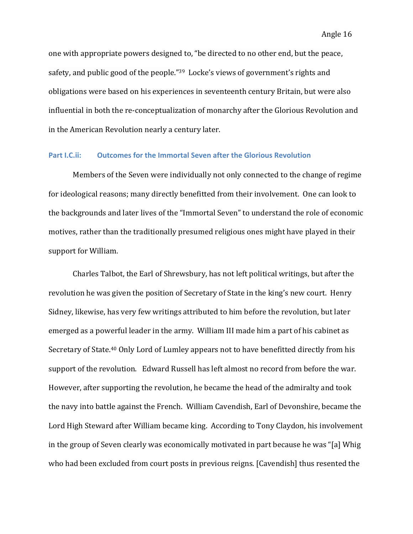one with appropriate powers designed to, "be directed to no other end, but the peace, safety, and public good of the people."<sup>39</sup> Locke's views of government's rights and obligations were based on his experiences in seventeenth century Britain, but were also influential in both the re-conceptualization of monarchy after the Glorious Revolution and in the American Revolution nearly a century later.

## Part I.C.ii: **Outcomes for the Immortal Seven after the Glorious Revolution**

Members of the Seven were individually not only connected to the change of regime for ideological reasons; many directly benefitted from their involvement. One can look to the backgrounds and later lives of the "Immortal Seven" to understand the role of economic motives, rather than the traditionally presumed religious ones might have played in their support for William.

Charles Talbot, the Earl of Shrewsbury, has not left political writings, but after the revolution he was given the position of Secretary of State in the king's new court. Henry Sidney, likewise, has very few writings attributed to him before the revolution, but later emerged as a powerful leader in the army. William III made him a part of his cabinet as Secretary of State.<sup>40</sup> Only Lord of Lumley appears not to have benefitted directly from his support of the revolution. Edward Russell has left almost no record from before the war. However, after supporting the revolution, he became the head of the admiralty and took the navy into battle against the French. William Cavendish, Earl of Devonshire, became the Lord High Steward after William became king. According to Tony Claydon, his involvement in the group of Seven clearly was economically motivated in part because he was "[a] Whig who had been excluded from court posts in previous reigns. [Cavendish] thus resented the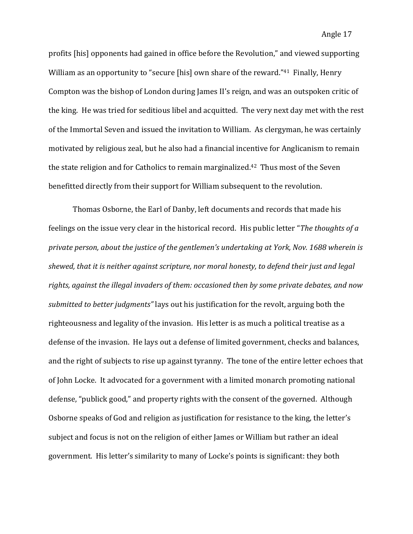profits [his] opponents had gained in office before the Revolution," and viewed supporting William as an opportunity to "secure [his] own share of the reward."<sup>41</sup> Finally, Henry Compton was the bishop of London during James II's reign, and was an outspoken critic of the king. He was tried for seditious libel and acquitted. The very next day met with the rest of the Immortal Seven and issued the invitation to William. As clergyman, he was certainly motivated by religious zeal, but he also had a financial incentive for Anglicanism to remain the state religion and for Catholics to remain marginalized.<sup>42</sup> Thus most of the Seven benefitted directly from their support for William subsequent to the revolution.

Thomas Osborne, the Earl of Danby, left documents and records that made his feelings on the issue very clear in the historical record. His public letter "*The thoughts of a* private person, about the justice of the gentlemen's undertaking at York, Nov. 1688 wherein is *shewed, that it is neither against scripture, nor moral honesty, to defend their just and legal* rights, against the illegal invaders of them: occasioned then by some private debates, and now *submitted to better judgments*" lays out his justification for the revolt, arguing both the righteousness and legality of the invasion. His letter is as much a political treatise as a defense of the invasion. He lays out a defense of limited government, checks and balances, and the right of subjects to rise up against tyranny. The tone of the entire letter echoes that of John Locke. It advocated for a government with a limited monarch promoting national defense, "publick good," and property rights with the consent of the governed. Although Osborne speaks of God and religion as justification for resistance to the king, the letter's subject and focus is not on the religion of either James or William but rather an ideal government. His letter's similarity to many of Locke's points is significant: they both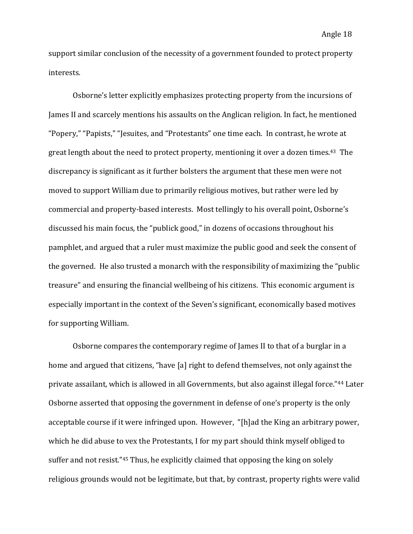support similar conclusion of the necessity of a government founded to protect property interests. 

Osborne's letter explicitly emphasizes protecting property from the incursions of James II and scarcely mentions his assaults on the Anglican religion. In fact, he mentioned "Popery," "Papists," "Jesuites, and "Protestants" one time each. In contrast, he wrote at great length about the need to protect property, mentioning it over a dozen times.<sup>43</sup> The discrepancy is significant as it further bolsters the argument that these men were not moved to support William due to primarily religious motives, but rather were led by commercial and property-based interests. Most tellingly to his overall point, Osborne's discussed his main focus, the "publick good," in dozens of occasions throughout his pamphlet, and argued that a ruler must maximize the public good and seek the consent of the governed. He also trusted a monarch with the responsibility of maximizing the "public" treasure" and ensuring the financial wellbeing of his citizens. This economic argument is especially important in the context of the Seven's significant, economically based motives for supporting William.

Osborne compares the contemporary regime of James II to that of a burglar in a home and argued that citizens, "have [a] right to defend themselves, not only against the private assailant, which is allowed in all Governments, but also against illegal force."<sup>44</sup> Later Osborne asserted that opposing the government in defense of one's property is the only acceptable course if it were infringed upon. However, "[h]ad the King an arbitrary power, which he did abuse to vex the Protestants, I for my part should think myself obliged to suffer and not resist." $45$  Thus, he explicitly claimed that opposing the king on solely religious grounds would not be legitimate, but that, by contrast, property rights were valid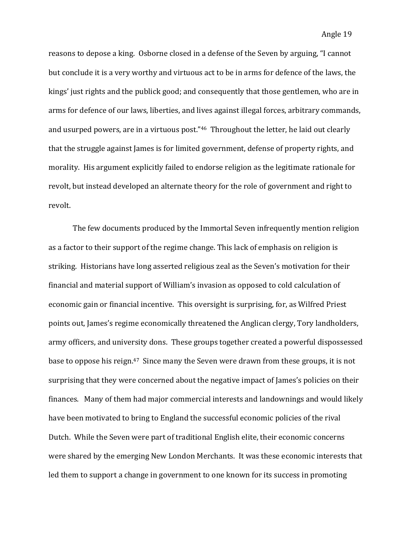reasons to depose a king. Osborne closed in a defense of the Seven by arguing, "I cannot but conclude it is a very worthy and virtuous act to be in arms for defence of the laws, the kings' just rights and the publick good; and consequently that those gentlemen, who are in arms for defence of our laws, liberties, and lives against illegal forces, arbitrary commands, and usurped powers, are in a virtuous post."<sup>46</sup> Throughout the letter, he laid out clearly that the struggle against James is for limited government, defense of property rights, and morality. His argument explicitly failed to endorse religion as the legitimate rationale for revolt, but instead developed an alternate theory for the role of government and right to revolt. 

The few documents produced by the Immortal Seven infrequently mention religion as a factor to their support of the regime change. This lack of emphasis on religion is striking. Historians have long asserted religious zeal as the Seven's motivation for their financial and material support of William's invasion as opposed to cold calculation of economic gain or financial incentive. This oversight is surprising, for, as Wilfred Priest points out, James's regime economically threatened the Anglican clergy, Tory landholders, army officers, and university dons. These groups together created a powerful dispossessed base to oppose his reign.<sup>47</sup> Since many the Seven were drawn from these groups, it is not surprising that they were concerned about the negative impact of James's policies on their finances. Many of them had major commercial interests and landownings and would likely have been motivated to bring to England the successful economic policies of the rival Dutch. While the Seven were part of traditional English elite, their economic concerns were shared by the emerging New London Merchants. It was these economic interests that led them to support a change in government to one known for its success in promoting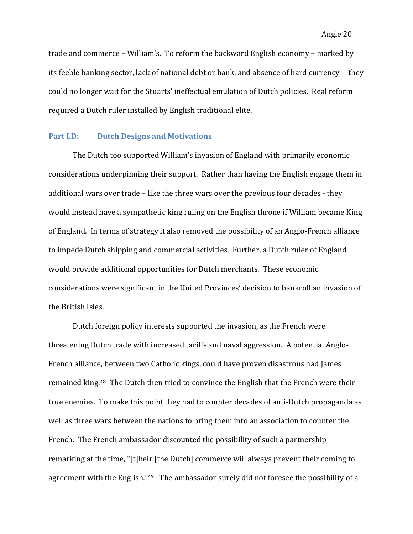trade and commerce – William's. To reform the backward English economy – marked by its feeble banking sector, lack of national debt or bank, and absence of hard currency -- they could no longer wait for the Stuarts' ineffectual emulation of Dutch policies. Real reform required a Dutch ruler installed by English traditional elite.

#### **Part I.D: Dutch Designs and Motivations**

The Dutch too supported William's invasion of England with primarily economic considerations underpinning their support. Rather than having the English engage them in additional wars over trade – like the three wars over the previous four decades - they would instead have a sympathetic king ruling on the English throne if William became King of England. In terms of strategy it also removed the possibility of an Anglo-French alliance to impede Dutch shipping and commercial activities. Further, a Dutch ruler of England would provide additional opportunities for Dutch merchants. These economic considerations were significant in the United Provinces' decision to bankroll an invasion of the British Isles.

Dutch foreign policy interests supported the invasion, as the French were threatening Dutch trade with increased tariffs and naval aggression. A potential Anglo-French alliance, between two Catholic kings, could have proven disastrous had James remained king.<sup>48</sup> The Dutch then tried to convince the English that the French were their true enemies. To make this point they had to counter decades of anti-Dutch propaganda as well as three wars between the nations to bring them into an association to counter the French. The French ambassador discounted the possibility of such a partnership remarking at the time, "[t]heir [the Dutch] commerce will always prevent their coming to agreement with the English." $49$  The ambassador surely did not foresee the possibility of a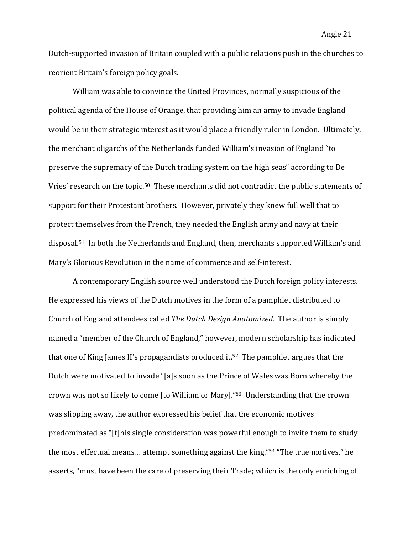Dutch-supported invasion of Britain coupled with a public relations push in the churches to reorient Britain's foreign policy goals.

William was able to convince the United Provinces, normally suspicious of the political agenda of the House of Orange, that providing him an army to invade England would be in their strategic interest as it would place a friendly ruler in London. Ultimately, the merchant oligarchs of the Netherlands funded William's invasion of England "to preserve the supremacy of the Dutch trading system on the high seas" according to De Vries' research on the topic.<sup>50</sup> These merchants did not contradict the public statements of support for their Protestant brothers. However, privately they knew full well that to protect themselves from the French, they needed the English army and navy at their disposal.<sup>51</sup> In both the Netherlands and England, then, merchants supported William's and Mary's Glorious Revolution in the name of commerce and self-interest.

A contemporary English source well understood the Dutch foreign policy interests. He expressed his views of the Dutch motives in the form of a pamphlet distributed to Church of England attendees called *The Dutch Design Anatomized*. The author is simply named a "member of the Church of England," however, modern scholarship has indicated that one of King James II's propagandists produced it.<sup>52</sup> The pamphlet argues that the Dutch were motivated to invade "[a]s soon as the Prince of Wales was Born whereby the crown was not so likely to come [to William or Mary]."<sup>53</sup> Understanding that the crown was slipping away, the author expressed his belief that the economic motives predominated as "[t]his single consideration was powerful enough to invite them to study the most effectual means... attempt something against the king."<sup>54</sup> "The true motives," he asserts, "must have been the care of preserving their Trade; which is the only enriching of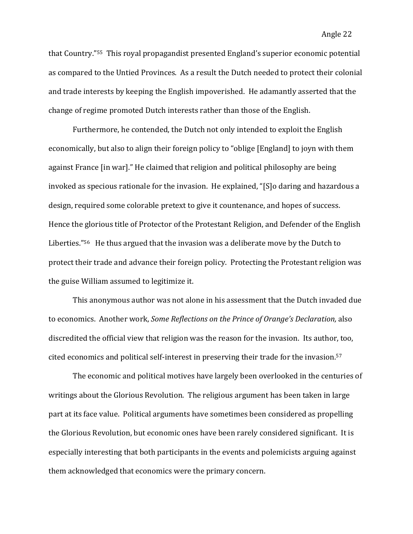that Country."<sup>55</sup> This royal propagandist presented England's superior economic potential as compared to the Untied Provinces. As a result the Dutch needed to protect their colonial and trade interests by keeping the English impoverished. He adamantly asserted that the change of regime promoted Dutch interests rather than those of the English.

Furthermore, he contended, the Dutch not only intended to exploit the English economically, but also to align their foreign policy to "oblige [England] to joyn with them against France [in war]." He claimed that religion and political philosophy are being invoked as specious rationale for the invasion. He explained, "[S]o daring and hazardous a design, required some colorable pretext to give it countenance, and hopes of success. Hence the glorious title of Protector of the Protestant Religion, and Defender of the English Liberties."<sup>56</sup> He thus argued that the invasion was a deliberate move by the Dutch to protect their trade and advance their foreign policy. Protecting the Protestant religion was the guise William assumed to legitimize it.

This anonymous author was not alone in his assessment that the Dutch invaded due to economics. Another work, *Some Reflections on the Prince of Orange's Declaration*, also discredited the official view that religion was the reason for the invasion. Its author, too, cited economics and political self-interest in preserving their trade for the invasion.<sup>57</sup>

The economic and political motives have largely been overlooked in the centuries of writings about the Glorious Revolution. The religious argument has been taken in large part at its face value. Political arguments have sometimes been considered as propelling the Glorious Revolution, but economic ones have been rarely considered significant. It is especially interesting that both participants in the events and polemicists arguing against them acknowledged that economics were the primary concern.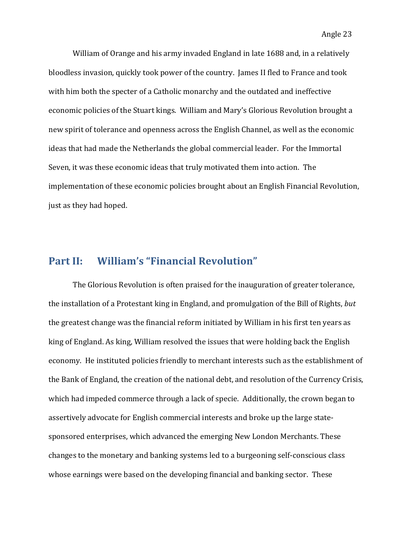William of Orange and his army invaded England in late 1688 and, in a relatively bloodless invasion, quickly took power of the country. James II fled to France and took with him both the specter of a Catholic monarchy and the outdated and ineffective economic policies of the Stuart kings. William and Mary's Glorious Revolution brought a new spirit of tolerance and openness across the English Channel, as well as the economic ideas that had made the Netherlands the global commercial leader. For the Immortal Seven, it was these economic ideas that truly motivated them into action. The implementation of these economic policies brought about an English Financial Revolution, just as they had hoped.

# **Part II: William's "Financial Revolution"**

The Glorious Revolution is often praised for the inauguration of greater tolerance, the installation of a Protestant king in England, and promulgation of the Bill of Rights, *but* the greatest change was the financial reform initiated by William in his first ten years as king of England. As king, William resolved the issues that were holding back the English economy. He instituted policies friendly to merchant interests such as the establishment of the Bank of England, the creation of the national debt, and resolution of the Currency Crisis, which had impeded commerce through a lack of specie. Additionally, the crown began to assertively advocate for English commercial interests and broke up the large statesponsored enterprises, which advanced the emerging New London Merchants. These changes to the monetary and banking systems led to a burgeoning self-conscious class whose earnings were based on the developing financial and banking sector. These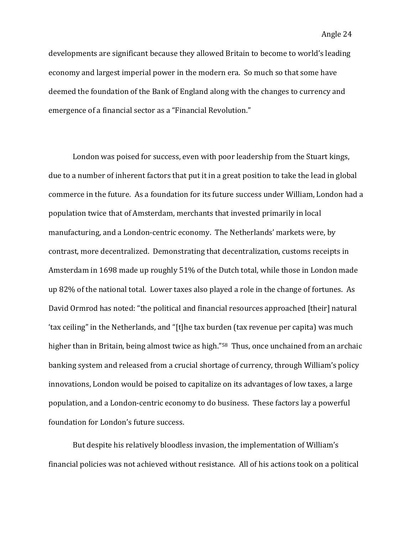developments are significant because they allowed Britain to become to world's leading economy and largest imperial power in the modern era. So much so that some have deemed the foundation of the Bank of England along with the changes to currency and emergence of a financial sector as a "Financial Revolution."

London was poised for success, even with poor leadership from the Stuart kings, due to a number of inherent factors that put it in a great position to take the lead in global commerce in the future. As a foundation for its future success under William, London had a population twice that of Amsterdam, merchants that invested primarily in local manufacturing, and a London-centric economy. The Netherlands' markets were, by contrast, more decentralized. Demonstrating that decentralization, customs receipts in Amsterdam in 1698 made up roughly 51% of the Dutch total, while those in London made up 82% of the national total. Lower taxes also played a role in the change of fortunes. As David Ormrod has noted: "the political and financial resources approached [their] natural 'tax ceiling" in the Netherlands, and "[t]he tax burden (tax revenue per capita) was much higher than in Britain, being almost twice as high."<sup>58</sup> Thus, once unchained from an archaic banking system and released from a crucial shortage of currency, through William's policy innovations, London would be poised to capitalize on its advantages of low taxes, a large population, and a London-centric economy to do business. These factors lay a powerful foundation for London's future success.

But despite his relatively bloodless invasion, the implementation of William's financial policies was not achieved without resistance. All of his actions took on a political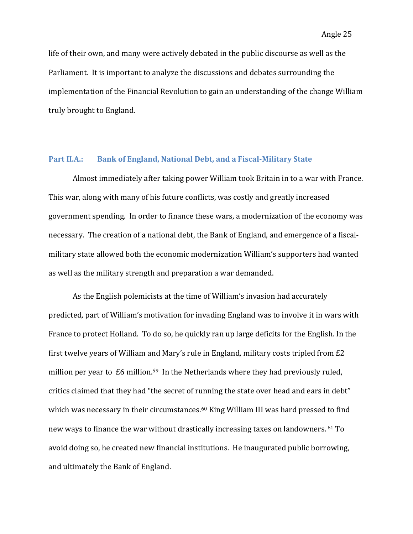life of their own, and many were actively debated in the public discourse as well as the Parliament. It is important to analyze the discussions and debates surrounding the implementation of the Financial Revolution to gain an understanding of the change William truly brought to England.

### Part II.A.: Bank of England, National Debt, and a Fiscal-Military State

Almost immediately after taking power William took Britain in to a war with France. This war, along with many of his future conflicts, was costly and greatly increased government spending. In order to finance these wars, a modernization of the economy was necessary. The creation of a national debt, the Bank of England, and emergence of a fiscalmilitary state allowed both the economic modernization William's supporters had wanted as well as the military strength and preparation a war demanded.

As the English polemicists at the time of William's invasion had accurately predicted, part of William's motivation for invading England was to involve it in wars with France to protect Holland. To do so, he quickly ran up large deficits for the English. In the first twelve years of William and Mary's rule in England, military costs tripled from  $E2$ million per year to  $£6$  million.<sup>59</sup> In the Netherlands where they had previously ruled, critics claimed that they had "the secret of running the state over head and ears in debt" which was necessary in their circumstances.<sup>60</sup> King William III was hard pressed to find new ways to finance the war without drastically increasing taxes on landowners. <sup>61</sup> To avoid doing so, he created new financial institutions. He inaugurated public borrowing, and ultimately the Bank of England.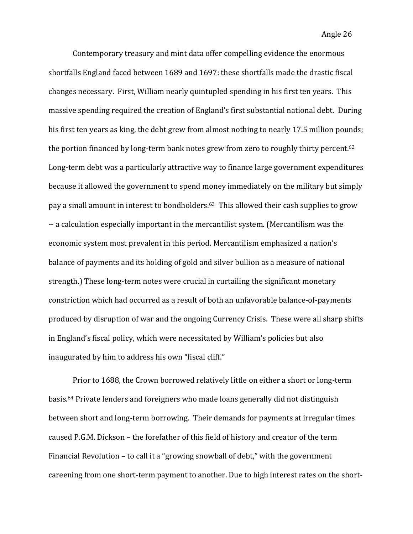Contemporary treasury and mint data offer compelling evidence the enormous shortfalls England faced between 1689 and 1697: these shortfalls made the drastic fiscal changes necessary. First, William nearly quintupled spending in his first ten years. This massive spending required the creation of England's first substantial national debt. During his first ten years as king, the debt grew from almost nothing to nearly 17.5 million pounds; the portion financed by long-term bank notes grew from zero to roughly thirty percent.<sup>62</sup> Long-term debt was a particularly attractive way to finance large government expenditures because it allowed the government to spend money immediately on the military but simply pay a small amount in interest to bondholders.<sup>63</sup> This allowed their cash supplies to grow -- a calculation especially important in the mercantilist system. (Mercantilism was the economic system most prevalent in this period. Mercantilism emphasized a nation's balance of payments and its holding of gold and silver bullion as a measure of national strength.) These long-term notes were crucial in curtailing the significant monetary constriction which had occurred as a result of both an unfavorable balance-of-payments produced by disruption of war and the ongoing Currency Crisis. These were all sharp shifts in England's fiscal policy, which were necessitated by William's policies but also inaugurated by him to address his own "fiscal cliff."

Prior to 1688, the Crown borrowed relatively little on either a short or long-term basis.<sup>64</sup> Private lenders and foreigners who made loans generally did not distinguish between short and long-term borrowing. Their demands for payments at irregular times caused P.G.M. Dickson – the forefather of this field of history and creator of the term Financial Revolution  $-$  to call it a "growing snowball of debt," with the government careening from one short-term payment to another. Due to high interest rates on the short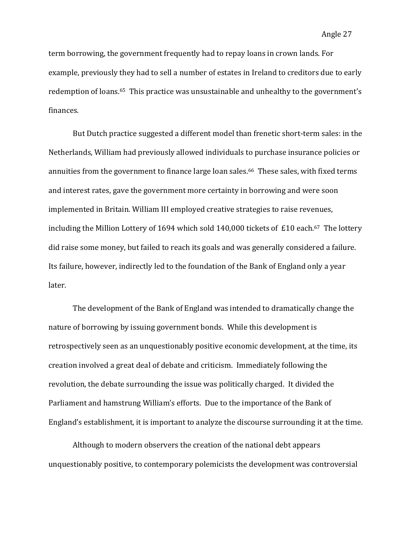term borrowing, the government frequently had to repay loans in crown lands. For example, previously they had to sell a number of estates in Ireland to creditors due to early redemption of loans.<sup>65</sup> This practice was unsustainable and unhealthy to the government's finances. 

But Dutch practice suggested a different model than frenetic short-term sales: in the Netherlands, William had previously allowed individuals to purchase insurance policies or annuities from the government to finance large loan sales.<sup>66</sup> These sales, with fixed terms and interest rates, gave the government more certainty in borrowing and were soon implemented in Britain. William III employed creative strategies to raise revenues, including the Million Lottery of 1694 which sold  $140,000$  tickets of £10 each.<sup>67</sup> The lottery did raise some money, but failed to reach its goals and was generally considered a failure. Its failure, however, indirectly led to the foundation of the Bank of England only a year later.

The development of the Bank of England was intended to dramatically change the nature of borrowing by issuing government bonds. While this development is retrospectively seen as an unquestionably positive economic development, at the time, its creation involved a great deal of debate and criticism. Immediately following the revolution, the debate surrounding the issue was politically charged. It divided the Parliament and hamstrung William's efforts. Due to the importance of the Bank of England's establishment, it is important to analyze the discourse surrounding it at the time.

Although to modern observers the creation of the national debt appears unquestionably positive, to contemporary polemicists the development was controversial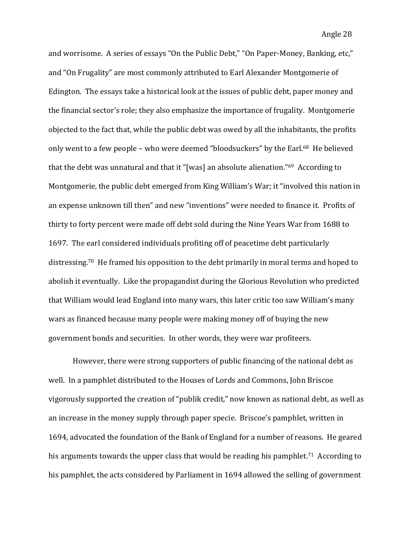and worrisome. A series of essays "On the Public Debt," "On Paper-Money, Banking, etc," and "On Frugality" are most commonly attributed to Earl Alexander Montgomerie of Edington. The essays take a historical look at the issues of public debt, paper money and the financial sector's role; they also emphasize the importance of frugality. Montgomerie objected to the fact that, while the public debt was owed by all the inhabitants, the profits only went to a few people – who were deemed "bloodsuckers" by the Earl.<sup>68</sup> He believed that the debt was unnatural and that it "[was] an absolute alienation." $69$  According to Montgomerie, the public debt emerged from King William's War; it "involved this nation in an expense unknown till then" and new "inventions" were needed to finance it. Profits of thirty to forty percent were made off debt sold during the Nine Years War from 1688 to 1697. The earl considered individuals profiting off of peacetime debt particularly distressing.<sup>70</sup> He framed his opposition to the debt primarily in moral terms and hoped to abolish it eventually. Like the propagandist during the Glorious Revolution who predicted that William would lead England into many wars, this later critic too saw William's many wars as financed because many people were making money off of buying the new government bonds and securities. In other words, they were war profiteers.

However, there were strong supporters of public financing of the national debt as well. In a pamphlet distributed to the Houses of Lords and Commons, John Briscoe vigorously supported the creation of "publik credit," now known as national debt, as well as an increase in the money supply through paper specie. Briscoe's pamphlet, written in 1694, advocated the foundation of the Bank of England for a number of reasons. He geared his arguments towards the upper class that would be reading his pamphlet.<sup>71</sup> According to his pamphlet, the acts considered by Parliament in 1694 allowed the selling of government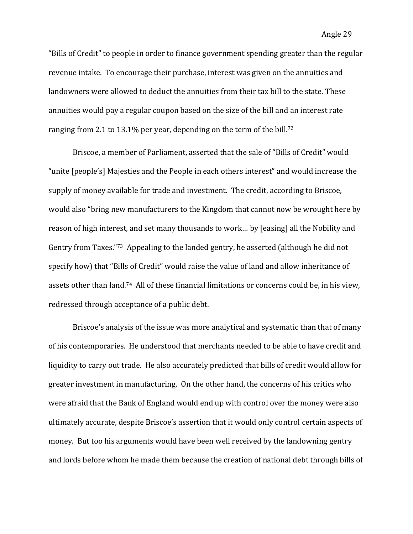"Bills of Credit" to people in order to finance government spending greater than the regular revenue intake. To encourage their purchase, interest was given on the annuities and landowners were allowed to deduct the annuities from their tax bill to the state. These annuities would pay a regular coupon based on the size of the bill and an interest rate ranging from 2.1 to 13.1% per year, depending on the term of the bill.<sup>72</sup>

Briscoe, a member of Parliament, asserted that the sale of "Bills of Credit" would "unite [people's] Majesties and the People in each others interest" and would increase the supply of money available for trade and investment. The credit, according to Briscoe, would also "bring new manufacturers to the Kingdom that cannot now be wrought here by reason of high interest, and set many thousands to work... by [easing] all the Nobility and Gentry from Taxes."<sup>73</sup> Appealing to the landed gentry, he asserted (although he did not specify how) that "Bills of Credit" would raise the value of land and allow inheritance of assets other than land.<sup>74</sup> All of these financial limitations or concerns could be, in his view, redressed through acceptance of a public debt.

Briscoe's analysis of the issue was more analytical and systematic than that of many of his contemporaries. He understood that merchants needed to be able to have credit and liquidity to carry out trade. He also accurately predicted that bills of credit would allow for greater investment in manufacturing. On the other hand, the concerns of his critics who were afraid that the Bank of England would end up with control over the money were also ultimately accurate, despite Briscoe's assertion that it would only control certain aspects of money. But too his arguments would have been well received by the landowning gentry and lords before whom he made them because the creation of national debt through bills of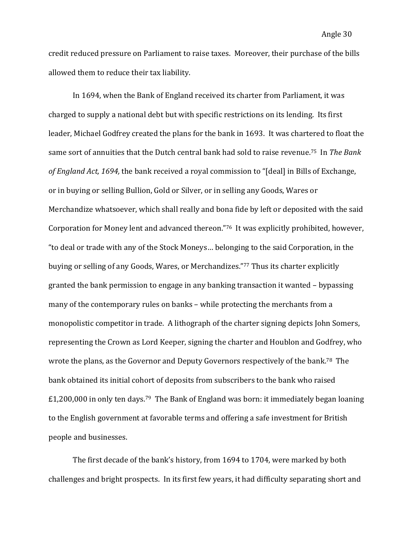credit reduced pressure on Parliament to raise taxes. Moreover, their purchase of the bills allowed them to reduce their tax liability.

In 1694, when the Bank of England received its charter from Parliament, it was charged to supply a national debt but with specific restrictions on its lending. Its first leader, Michael Godfrey created the plans for the bank in 1693. It was chartered to float the same sort of annuities that the Dutch central bank had sold to raise revenue.<sup>75</sup> In *The Bank of England Act, 1694,* the bank received a royal commission to "[deal] in Bills of Exchange, or in buving or selling Bullion, Gold or Silver, or in selling any Goods, Wares or Merchandize whatsoever, which shall really and bona fide by left or deposited with the said Corporation for Money lent and advanced thereon."76 It was explicitly prohibited, however, "to deal or trade with any of the Stock Moneys... belonging to the said Corporation, in the buying or selling of any Goods, Wares, or Merchandizes."77 Thus its charter explicitly granted the bank permission to engage in any banking transaction it wanted – bypassing many of the contemporary rules on banks – while protecting the merchants from a monopolistic competitor in trade. A lithograph of the charter signing depicts John Somers, representing the Crown as Lord Keeper, signing the charter and Houblon and Godfrey, who wrote the plans, as the Governor and Deputy Governors respectively of the bank.<sup>78</sup> The bank obtained its initial cohort of deposits from subscribers to the bank who raised  $£1,200,000$  in only ten days.<sup>79</sup> The Bank of England was born: it immediately began loaning to the English government at favorable terms and offering a safe investment for British people and businesses.

The first decade of the bank's history, from 1694 to 1704, were marked by both challenges and bright prospects. In its first few years, it had difficulty separating short and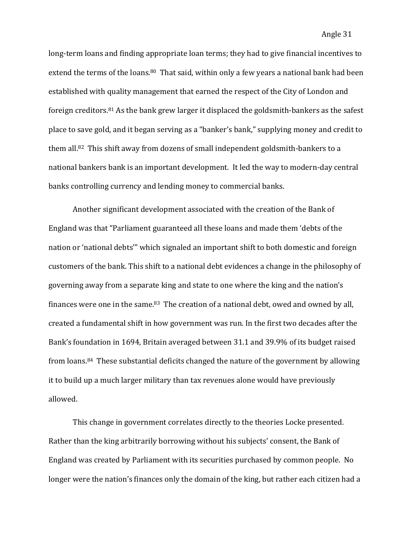long-term loans and finding appropriate loan terms; they had to give financial incentives to extend the terms of the loans.<sup>80</sup> That said, within only a few years a national bank had been established with quality management that earned the respect of the City of London and foreign creditors.<sup>81</sup> As the bank grew larger it displaced the goldsmith-bankers as the safest place to save gold, and it began serving as a "banker's bank," supplying money and credit to them all.<sup>82</sup> This shift away from dozens of small independent goldsmith-bankers to a national bankers bank is an important development. It led the way to modern-day central banks controlling currency and lending money to commercial banks.

Another significant development associated with the creation of the Bank of England was that "Parliament guaranteed all these loans and made them 'debts of the nation or 'national debts'" which signaled an important shift to both domestic and foreign customers of the bank. This shift to a national debt evidences a change in the philosophy of governing away from a separate king and state to one where the king and the nation's finances were one in the same.<sup>83</sup> The creation of a national debt, owed and owned by all, created a fundamental shift in how government was run. In the first two decades after the Bank's foundation in 1694, Britain averaged between 31.1 and 39.9% of its budget raised from loans.<sup>84</sup> These substantial deficits changed the nature of the government by allowing it to build up a much larger military than tax revenues alone would have previously allowed.

This change in government correlates directly to the theories Locke presented. Rather than the king arbitrarily borrowing without his subjects' consent, the Bank of England was created by Parliament with its securities purchased by common people. No longer were the nation's finances only the domain of the king, but rather each citizen had a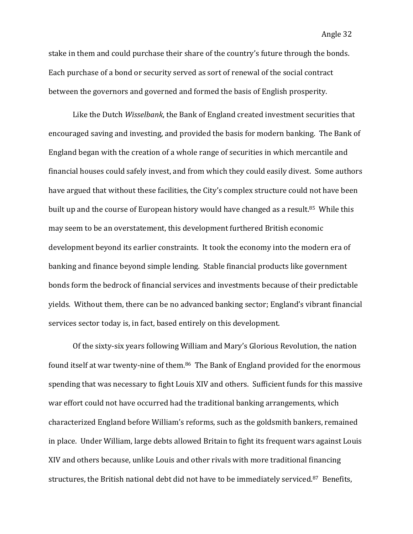stake in them and could purchase their share of the country's future through the bonds. Each purchase of a bond or security served as sort of renewal of the social contract between the governors and governed and formed the basis of English prosperity.

Like the Dutch *Wisselbank*, the Bank of England created investment securities that encouraged saving and investing, and provided the basis for modern banking. The Bank of England began with the creation of a whole range of securities in which mercantile and financial houses could safely invest, and from which they could easily divest. Some authors have argued that without these facilities, the City's complex structure could not have been built up and the course of European history would have changed as a result.<sup>85</sup> While this may seem to be an overstatement, this development furthered British economic development beyond its earlier constraints. It took the economy into the modern era of banking and finance beyond simple lending. Stable financial products like government bonds form the bedrock of financial services and investments because of their predictable yields. Without them, there can be no advanced banking sector; England's vibrant financial services sector today is, in fact, based entirely on this development.

Of the sixty-six years following William and Mary's Glorious Revolution, the nation found itself at war twenty-nine of them.<sup>86</sup> The Bank of England provided for the enormous spending that was necessary to fight Louis XIV and others. Sufficient funds for this massive war effort could not have occurred had the traditional banking arrangements, which characterized England before William's reforms, such as the goldsmith bankers, remained in place. Under William, large debts allowed Britain to fight its frequent wars against Louis XIV and others because, unlike Louis and other rivals with more traditional financing structures, the British national debt did not have to be immediately serviced.<sup>87</sup> Benefits,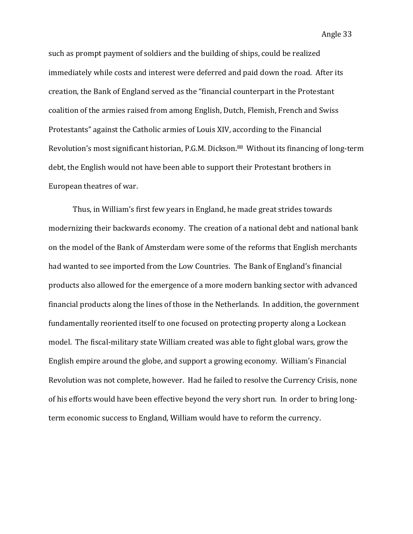Angle 33

such as prompt payment of soldiers and the building of ships, could be realized immediately while costs and interest were deferred and paid down the road. After its creation, the Bank of England served as the "financial counterpart in the Protestant coalition of the armies raised from among English, Dutch, Flemish, French and Swiss Protestants" against the Catholic armies of Louis XIV, according to the Financial Revolution's most significant historian, P.G.M. Dickson.<sup>88</sup> Without its financing of long-term debt, the English would not have been able to support their Protestant brothers in European theatres of war.

Thus, in William's first few years in England, he made great strides towards modernizing their backwards economy. The creation of a national debt and national bank on the model of the Bank of Amsterdam were some of the reforms that English merchants had wanted to see imported from the Low Countries. The Bank of England's financial products also allowed for the emergence of a more modern banking sector with advanced financial products along the lines of those in the Netherlands. In addition, the government fundamentally reoriented itself to one focused on protecting property along a Lockean model. The fiscal-military state William created was able to fight global wars, grow the English empire around the globe, and support a growing economy. William's Financial Revolution was not complete, however. Had he failed to resolve the Currency Crisis, none of his efforts would have been effective beyond the very short run. In order to bring longterm economic success to England, William would have to reform the currency.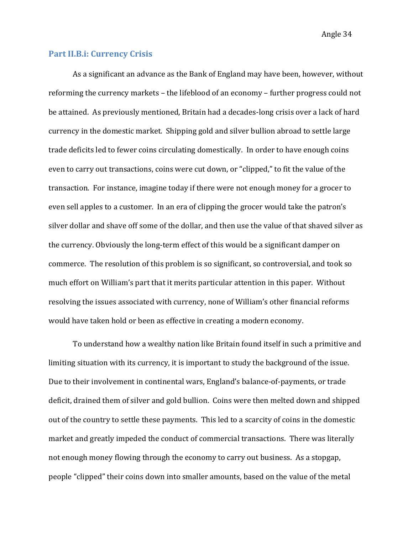Angle 34

#### **Part II.B.i: Currency Crisis**

As a significant an advance as the Bank of England may have been, however, without reforming the currency markets – the lifeblood of an economy – further progress could not be attained. As previously mentioned. Britain had a decades-long crisis over a lack of hard currency in the domestic market. Shipping gold and silver bullion abroad to settle large trade deficits led to fewer coins circulating domestically. In order to have enough coins even to carry out transactions, coins were cut down, or "clipped," to fit the value of the transaction. For instance, imagine today if there were not enough money for a grocer to even sell apples to a customer. In an era of clipping the grocer would take the patron's silver dollar and shave off some of the dollar, and then use the value of that shaved silver as the currency. Obviously the long-term effect of this would be a significant damper on commerce. The resolution of this problem is so significant, so controversial, and took so much effort on William's part that it merits particular attention in this paper. Without resolving the issues associated with currency, none of William's other financial reforms would have taken hold or been as effective in creating a modern economy.

To understand how a wealthy nation like Britain found itself in such a primitive and limiting situation with its currency, it is important to study the background of the issue. Due to their involvement in continental wars, England's balance-of-payments, or trade deficit, drained them of silver and gold bullion. Coins were then melted down and shipped out of the country to settle these payments. This led to a scarcity of coins in the domestic market and greatly impeded the conduct of commercial transactions. There was literally not enough money flowing through the economy to carry out business. As a stopgap, people "clipped" their coins down into smaller amounts, based on the value of the metal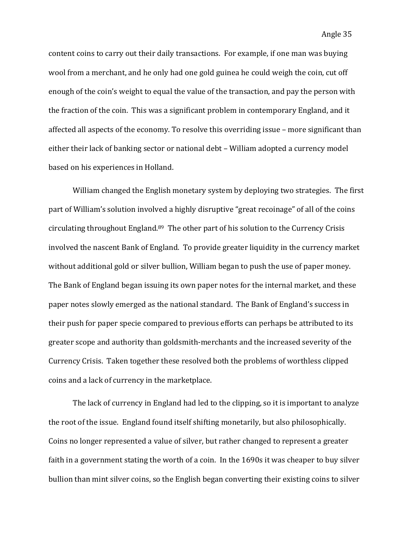content coins to carry out their daily transactions. For example, if one man was buying wool from a merchant, and he only had one gold guinea he could weigh the coin, cut off enough of the coin's weight to equal the value of the transaction, and pay the person with the fraction of the coin. This was a significant problem in contemporary England, and it affected all aspects of the economy. To resolve this overriding issue – more significant than either their lack of banking sector or national debt – William adopted a currency model based on his experiences in Holland.

William changed the English monetary system by deploying two strategies. The first part of William's solution involved a highly disruptive "great recoinage" of all of the coins circulating throughout England. $89$  The other part of his solution to the Currency Crisis involved the nascent Bank of England. To provide greater liquidity in the currency market without additional gold or silver bullion, William began to push the use of paper money. The Bank of England began issuing its own paper notes for the internal market, and these paper notes slowly emerged as the national standard. The Bank of England's success in their push for paper specie compared to previous efforts can perhaps be attributed to its greater scope and authority than goldsmith-merchants and the increased severity of the Currency Crisis. Taken together these resolved both the problems of worthless clipped coins and a lack of currency in the marketplace.

The lack of currency in England had led to the clipping, so it is important to analyze the root of the issue. England found itself shifting monetarily, but also philosophically. Coins no longer represented a value of silver, but rather changed to represent a greater faith in a government stating the worth of a coin. In the 1690s it was cheaper to buy silver bullion than mint silver coins, so the English began converting their existing coins to silver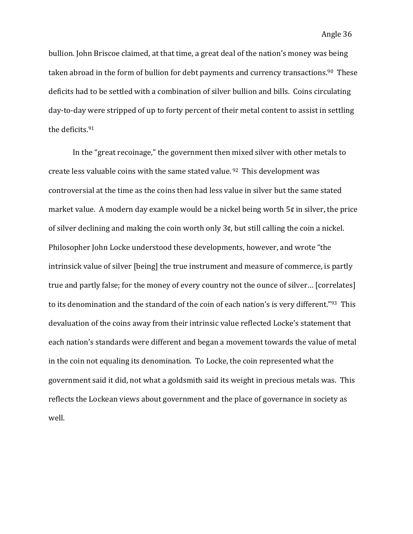bullion. John Briscoe claimed, at that time, a great deal of the nation's money was being taken abroad in the form of bullion for debt payments and currency transactions.<sup>90</sup> These deficits had to be settled with a combination of silver bullion and bills. Coins circulating day-to-day were stripped of up to forty percent of their metal content to assist in settling the deficits. <sup>91</sup> 

In the "great recoinage," the government then mixed silver with other metals to create less valuable coins with the same stated value.  $92$  This development was controversial at the time as the coins then had less value in silver but the same stated market value. A modern day example would be a nickel being worth  $5¢$  in silver, the price of silver declining and making the coin worth only  $3¢$ , but still calling the coin a nickel. Philosopher John Locke understood these developments, however, and wrote "the intrinsick value of silver [being] the true instrument and measure of commerce, is partly true and partly false; for the money of every country not the ounce of silver... [correlates] to its denomination and the standard of the coin of each nation's is very different."<sup>93</sup> This devaluation of the coins away from their intrinsic value reflected Locke's statement that each nation's standards were different and began a movement towards the value of metal in the coin not equaling its denomination. To Locke, the coin represented what the government said it did, not what a goldsmith said its weight in precious metals was. This reflects the Lockean views about government and the place of governance in society as well.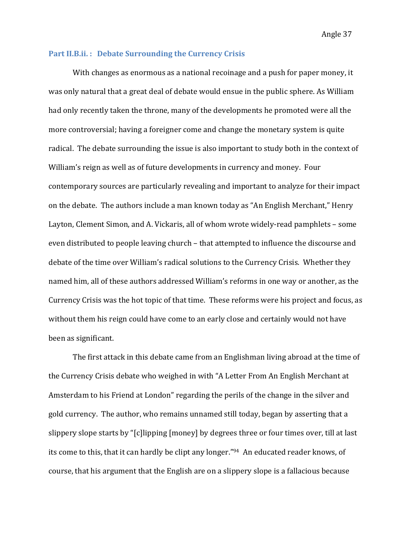#### **Part II.B.ii.: Debate Surrounding the Currency Crisis**

With changes as enormous as a national recoinage and a push for paper money, it was only natural that a great deal of debate would ensue in the public sphere. As William had only recently taken the throne, many of the developments he promoted were all the more controversial; having a foreigner come and change the monetary system is quite radical. The debate surrounding the issue is also important to study both in the context of William's reign as well as of future developments in currency and money. Four contemporary sources are particularly revealing and important to analyze for their impact on the debate. The authors include a man known today as "An English Merchant," Henry Layton, Clement Simon, and A. Vickaris, all of whom wrote widely-read pamphlets – some even distributed to people leaving church – that attempted to influence the discourse and debate of the time over William's radical solutions to the Currency Crisis. Whether they named him, all of these authors addressed William's reforms in one way or another, as the Currency Crisis was the hot topic of that time. These reforms were his project and focus, as without them his reign could have come to an early close and certainly would not have been as significant.

The first attack in this debate came from an Englishman living abroad at the time of the Currency Crisis debate who weighed in with "A Letter From An English Merchant at Amsterdam to his Friend at London" regarding the perils of the change in the silver and gold currency. The author, who remains unnamed still today, began by asserting that a slippery slope starts by "[c]lipping [money] by degrees three or four times over, till at last its come to this, that it can hardly be clipt any longer."<sup>94</sup> An educated reader knows, of course, that his argument that the English are on a slippery slope is a fallacious because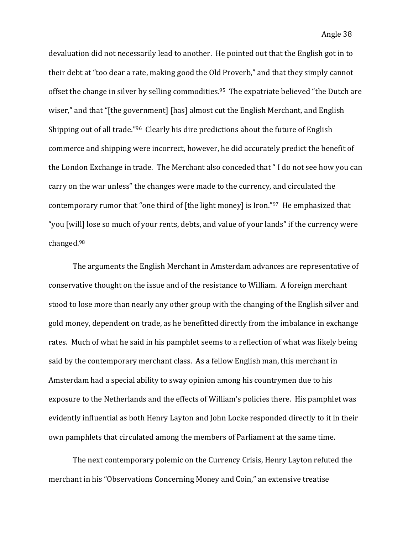devaluation did not necessarily lead to another. He pointed out that the English got in to their debt at "too dear a rate, making good the Old Proverb," and that they simply cannot offset the change in silver by selling commodities.<sup>95</sup> The expatriate believed "the Dutch are wiser," and that "[the government] [has] almost cut the English Merchant, and English Shipping out of all trade."<sup>96</sup> Clearly his dire predictions about the future of English commerce and shipping were incorrect, however, he did accurately predict the benefit of the London Exchange in trade. The Merchant also conceded that "I do not see how you can carry on the war unless" the changes were made to the currency, and circulated the contemporary rumor that "one third of [the light money] is Iron." $97$  He emphasized that "you [will] lose so much of your rents, debts, and value of your lands" if the currency were changed. 98

The arguments the English Merchant in Amsterdam advances are representative of conservative thought on the issue and of the resistance to William. A foreign merchant stood to lose more than nearly any other group with the changing of the English silver and gold money, dependent on trade, as he benefitted directly from the imbalance in exchange rates. Much of what he said in his pamphlet seems to a reflection of what was likely being said by the contemporary merchant class. As a fellow English man, this merchant in Amsterdam had a special ability to sway opinion among his countrymen due to his exposure to the Netherlands and the effects of William's policies there. His pamphlet was evidently influential as both Henry Layton and John Locke responded directly to it in their own pamphlets that circulated among the members of Parliament at the same time.

The next contemporary polemic on the Currency Crisis, Henry Layton refuted the merchant in his "Observations Concerning Money and Coin," an extensive treatise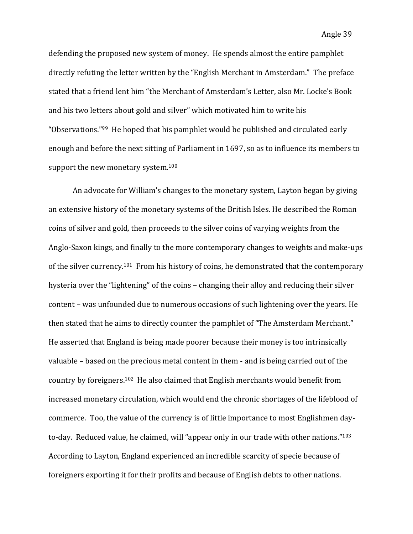defending the proposed new system of money. He spends almost the entire pamphlet directly refuting the letter written by the "English Merchant in Amsterdam." The preface stated that a friend lent him "the Merchant of Amsterdam's Letter, also Mr. Locke's Book and his two letters about gold and silver" which motivated him to write his "Observations."<sup>99</sup> He hoped that his pamphlet would be published and circulated early enough and before the next sitting of Parliament in 1697, so as to influence its members to support the new monetary system. $100$ 

An advocate for William's changes to the monetary system, Layton began by giving an extensive history of the monetary systems of the British Isles. He described the Roman coins of silver and gold, then proceeds to the silver coins of varying weights from the Anglo-Saxon kings, and finally to the more contemporary changes to weights and make-ups of the silver currency.<sup>101</sup> From his history of coins, he demonstrated that the contemporary hysteria over the "lightening" of the coins – changing their alloy and reducing their silver content – was unfounded due to numerous occasions of such lightening over the years. He then stated that he aims to directly counter the pamphlet of "The Amsterdam Merchant." He asserted that England is being made poorer because their money is too intrinsically valuable  $-$  based on the precious metal content in them  $-$  and is being carried out of the country by foreigners.<sup>102</sup> He also claimed that English merchants would benefit from increased monetary circulation, which would end the chronic shortages of the lifeblood of commerce. Too, the value of the currency is of little importance to most Englishmen dayto-day. Reduced value, he claimed, will "appear only in our trade with other nations."<sup>103</sup> According to Layton, England experienced an incredible scarcity of specie because of foreigners exporting it for their profits and because of English debts to other nations.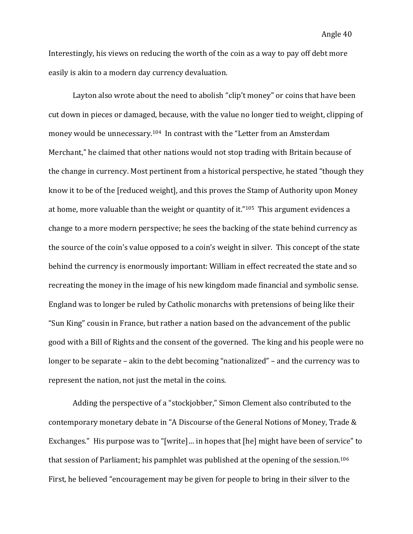Interestingly, his views on reducing the worth of the coin as a way to pay off debt more easily is akin to a modern day currency devaluation.

Layton also wrote about the need to abolish "clip't money" or coins that have been cut down in pieces or damaged, because, with the value no longer tied to weight, clipping of money would be unnecessary.<sup>104</sup> In contrast with the "Letter from an Amsterdam Merchant," he claimed that other nations would not stop trading with Britain because of the change in currency. Most pertinent from a historical perspective, he stated "though they know it to be of the [reduced weight], and this proves the Stamp of Authority upon Money at home, more valuable than the weight or quantity of it." $105$  This argument evidences a change to a more modern perspective; he sees the backing of the state behind currency as the source of the coin's value opposed to a coin's weight in silver. This concept of the state behind the currency is enormously important: William in effect recreated the state and so recreating the money in the image of his new kingdom made financial and symbolic sense. England was to longer be ruled by Catholic monarchs with pretensions of being like their "Sun King" cousin in France, but rather a nation based on the advancement of the public good with a Bill of Rights and the consent of the governed. The king and his people were no longer to be separate  $-$  akin to the debt becoming "nationalized"  $-$  and the currency was to represent the nation, not just the metal in the coins.

Adding the perspective of a "stockjobber," Simon Clement also contributed to the contemporary monetary debate in "A Discourse of the General Notions of Money, Trade & Exchanges." His purpose was to "[write]... in hopes that [he] might have been of service" to that session of Parliament; his pamphlet was published at the opening of the session.<sup>106</sup> First, he believed "encouragement may be given for people to bring in their silver to the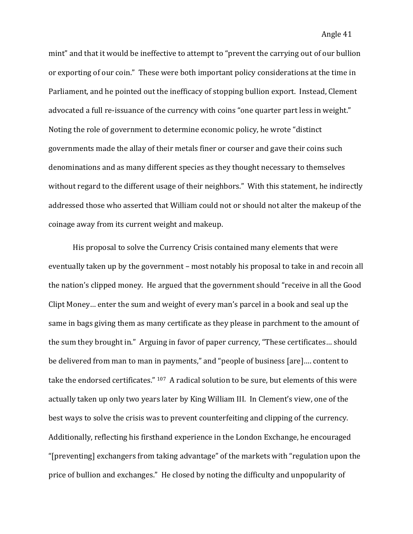mint" and that it would be ineffective to attempt to "prevent the carrying out of our bullion or exporting of our coin." These were both important policy considerations at the time in Parliament, and he pointed out the inefficacy of stopping bullion export. Instead, Clement advocated a full re-issuance of the currency with coins "one quarter part less in weight." Noting the role of government to determine economic policy, he wrote "distinct" governments made the allay of their metals finer or courser and gave their coins such denominations and as many different species as they thought necessary to themselves without regard to the different usage of their neighbors." With this statement, he indirectly addressed those who asserted that William could not or should not alter the makeup of the coinage away from its current weight and makeup.

His proposal to solve the Currency Crisis contained many elements that were eventually taken up by the government – most notably his proposal to take in and recoin all the nation's clipped money. He argued that the government should "receive in all the Good Clipt Money... enter the sum and weight of every man's parcel in a book and seal up the same in bags giving them as many certificate as they please in parchment to the amount of the sum they brought in." Arguing in favor of paper currency, "These certificates... should be delivered from man to man in payments," and "people of business [are].... content to take the endorsed certificates." <sup>107</sup> A radical solution to be sure, but elements of this were actually taken up only two years later by King William III. In Clement's view, one of the best ways to solve the crisis was to prevent counterfeiting and clipping of the currency. Additionally, reflecting his firsthand experience in the London Exchange, he encouraged "[preventing] exchangers from taking advantage" of the markets with "regulation upon the price of bullion and exchanges." He closed by noting the difficulty and unpopularity of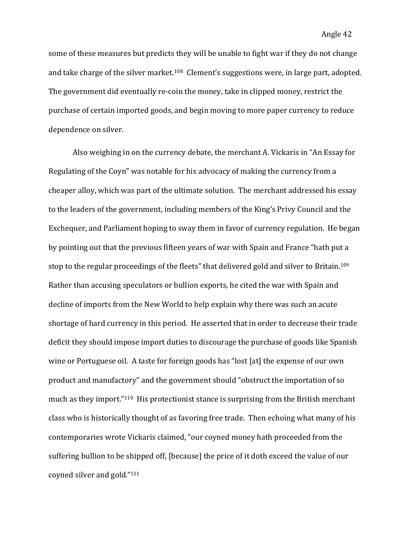some of these measures but predicts they will be unable to fight war if they do not change and take charge of the silver market.<sup>108</sup> Clement's suggestions were, in large part, adopted. The government did eventually re-coin the money, take in clipped money, restrict the purchase of certain imported goods, and begin moving to more paper currency to reduce dependence on silver.

Also weighing in on the currency debate, the merchant A. Vickaris in "An Essay for Regulating of the Coyn" was notable for his advocacy of making the currency from a cheaper alloy, which was part of the ultimate solution. The merchant addressed his essay to the leaders of the government, including members of the King's Privy Council and the Exchequer, and Parliament hoping to sway them in favor of currency regulation. He began by pointing out that the previous fifteen years of war with Spain and France "hath put a stop to the regular proceedings of the fleets" that delivered gold and silver to Britain.<sup>109</sup> Rather than accusing speculators or bullion exports, he cited the war with Spain and decline of imports from the New World to help explain why there was such an acute shortage of hard currency in this period. He asserted that in order to decrease their trade deficit they should impose import duties to discourage the purchase of goods like Spanish wine or Portuguese oil. A taste for foreign goods has "lost [at] the expense of our own product and manufactory" and the government should "obstruct the importation of so much as they import." $110$  His protectionist stance is surprising from the British merchant class who is historically thought of as favoring free trade. Then echoing what many of his contemporaries wrote Vickaris claimed, "our coyned money hath proceeded from the suffering bullion to be shipped off, [because] the price of it doth exceed the value of our coyned silver and gold."<sup>111</sup>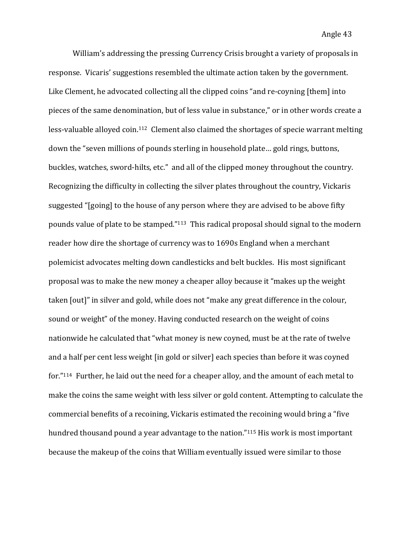William's addressing the pressing Currency Crisis brought a variety of proposals in response. Vicaris' suggestions resembled the ultimate action taken by the government. Like Clement, he advocated collecting all the clipped coins "and re-coyning [them] into pieces of the same denomination, but of less value in substance," or in other words create a less-valuable alloyed coin.<sup>112</sup> Clement also claimed the shortages of specie warrant melting down the "seven millions of pounds sterling in household plate... gold rings, buttons, buckles, watches, sword-hilts, etc." and all of the clipped money throughout the country. Recognizing the difficulty in collecting the silver plates throughout the country, Vickaris suggested "[going] to the house of any person where they are advised to be above fifty pounds value of plate to be stamped."<sup>113</sup> This radical proposal should signal to the modern reader how dire the shortage of currency was to 1690s England when a merchant polemicist advocates melting down candlesticks and belt buckles. His most significant proposal was to make the new money a cheaper alloy because it "makes up the weight taken [out]" in silver and gold, while does not "make any great difference in the colour, sound or weight" of the money. Having conducted research on the weight of coins nationwide he calculated that "what money is new coyned, must be at the rate of twelve and a half per cent less weight [in gold or silver] each species than before it was coyned for."<sup>114</sup> Further, he laid out the need for a cheaper alloy, and the amount of each metal to make the coins the same weight with less silver or gold content. Attempting to calculate the commercial benefits of a recoining, Vickaris estimated the recoining would bring a "five hundred thousand pound a year advantage to the nation."<sup>115</sup> His work is most important because the makeup of the coins that William eventually issued were similar to those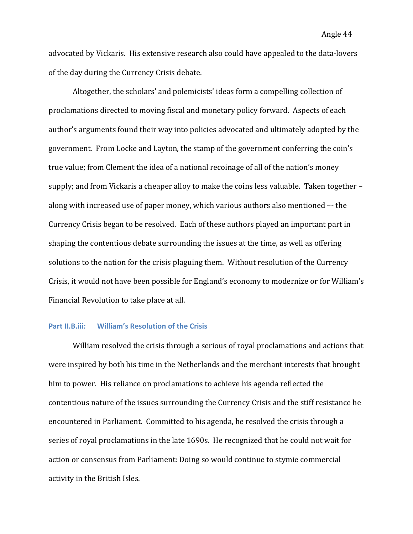advocated by Vickaris. His extensive research also could have appealed to the data-lovers of the day during the Currency Crisis debate.

Altogether, the scholars' and polemicists' ideas form a compelling collection of proclamations directed to moving fiscal and monetary policy forward. Aspects of each author's arguments found their way into policies advocated and ultimately adopted by the government. From Locke and Layton, the stamp of the government conferring the coin's true value; from Clement the idea of a national recoinage of all of the nation's money supply; and from Vickaris a cheaper alloy to make the coins less valuable. Taken together – along with increased use of paper money, which various authors also mentioned -- the Currency Crisis began to be resolved. Each of these authors played an important part in shaping the contentious debate surrounding the issues at the time, as well as offering solutions to the nation for the crisis plaguing them. Without resolution of the Currency Crisis, it would not have been possible for England's economy to modernize or for William's Financial Revolution to take place at all.

#### **Part II.B.iii:** William's Resolution of the Crisis

William resolved the crisis through a serious of royal proclamations and actions that were inspired by both his time in the Netherlands and the merchant interests that brought him to power. His reliance on proclamations to achieve his agenda reflected the contentious nature of the issues surrounding the Currency Crisis and the stiff resistance he encountered in Parliament. Committed to his agenda, he resolved the crisis through a series of royal proclamations in the late 1690s. He recognized that he could not wait for action or consensus from Parliament: Doing so would continue to stymie commercial activity in the British Isles.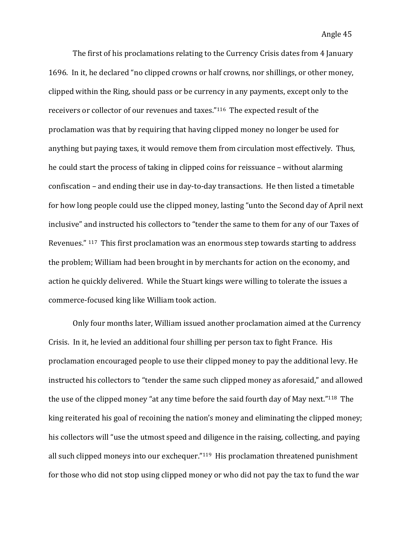The first of his proclamations relating to the Currency Crisis dates from 4 January 1696. In it, he declared "no clipped crowns or half crowns, nor shillings, or other money, clipped within the Ring, should pass or be currency in any payments, except only to the receivers or collector of our revenues and taxes."<sup>116</sup> The expected result of the proclamation was that by requiring that having clipped money no longer be used for anything but paying taxes, it would remove them from circulation most effectively. Thus, he could start the process of taking in clipped coins for reissuance – without alarming confiscation – and ending their use in day-to-day transactions. He then listed a timetable for how long people could use the clipped money, lasting "unto the Second day of April next inclusive" and instructed his collectors to "tender the same to them for any of our Taxes of Revenues."  $117$  This first proclamation was an enormous step towards starting to address the problem; William had been brought in by merchants for action on the economy, and action he quickly delivered. While the Stuart kings were willing to tolerate the issues a commerce-focused king like William took action.

Only four months later, William issued another proclamation aimed at the Currency Crisis. In it, he levied an additional four shilling per person tax to fight France. His proclamation encouraged people to use their clipped money to pay the additional levy. He instructed his collectors to "tender the same such clipped money as aforesaid," and allowed the use of the clipped money "at any time before the said fourth day of May next."<sup>118</sup> The king reiterated his goal of recoining the nation's money and eliminating the clipped money; his collectors will "use the utmost speed and diligence in the raising, collecting, and paying all such clipped moneys into our exchequer." $119$  His proclamation threatened punishment for those who did not stop using clipped money or who did not pay the tax to fund the war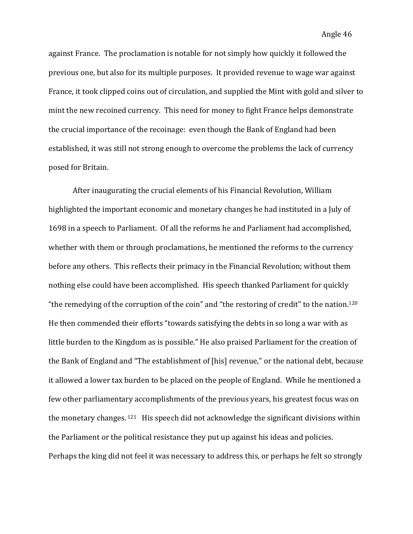against France. The proclamation is notable for not simply how quickly it followed the previous one, but also for its multiple purposes. It provided revenue to wage war against France, it took clipped coins out of circulation, and supplied the Mint with gold and silver to mint the new recoined currency. This need for money to fight France helps demonstrate the crucial importance of the recoinage: even though the Bank of England had been established, it was still not strong enough to overcome the problems the lack of currency posed for Britain.

After inaugurating the crucial elements of his Financial Revolution, William highlighted the important economic and monetary changes he had instituted in a July of 1698 in a speech to Parliament. Of all the reforms he and Parliament had accomplished, whether with them or through proclamations, he mentioned the reforms to the currency before any others. This reflects their primacy in the Financial Revolution; without them nothing else could have been accomplished. His speech thanked Parliament for quickly "the remedying of the corruption of the coin" and "the restoring of credit" to the nation.<sup>120</sup> He then commended their efforts "towards satisfying the debts in so long a war with as little burden to the Kingdom as is possible." He also praised Parliament for the creation of the Bank of England and "The establishment of [his] revenue," or the national debt, because it allowed a lower tax burden to be placed on the people of England. While he mentioned a few other parliamentary accomplishments of the previous years, his greatest focus was on the monetary changes.  $121$  His speech did not acknowledge the significant divisions within the Parliament or the political resistance they put up against his ideas and policies. Perhaps the king did not feel it was necessary to address this, or perhaps he felt so strongly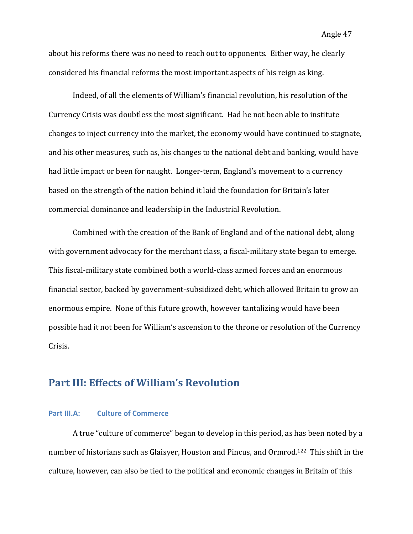Angle 47

about his reforms there was no need to reach out to opponents. Either way, he clearly considered his financial reforms the most important aspects of his reign as king.

Indeed, of all the elements of William's financial revolution, his resolution of the Currency Crisis was doubtless the most significant. Had he not been able to institute changes to inject currency into the market, the economy would have continued to stagnate, and his other measures, such as, his changes to the national debt and banking, would have had little impact or been for naught. Longer-term, England's movement to a currency based on the strength of the nation behind it laid the foundation for Britain's later commercial dominance and leadership in the Industrial Revolution.

Combined with the creation of the Bank of England and of the national debt, along with government advocacy for the merchant class, a fiscal-military state began to emerge. This fiscal-military state combined both a world-class armed forces and an enormous financial sector, backed by government-subsidized debt, which allowed Britain to grow an enormous empire. None of this future growth, however tantalizing would have been possible had it not been for William's ascension to the throne or resolution of the Currency Crisis.

# **Part III: Effects of William's Revolution**

#### **Part III.A: Culture of Commerce**

A true "culture of commerce" began to develop in this period, as has been noted by a number of historians such as Glaisyer, Houston and Pincus, and Ormrod.<sup>122</sup> This shift in the culture, however, can also be tied to the political and economic changes in Britain of this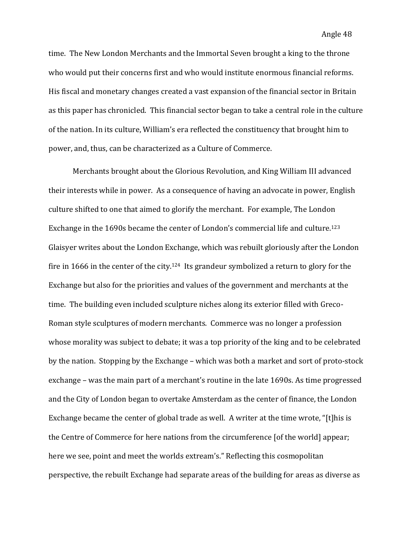time. The New London Merchants and the Immortal Seven brought a king to the throne who would put their concerns first and who would institute enormous financial reforms. His fiscal and monetary changes created a vast expansion of the financial sector in Britain as this paper has chronicled. This financial sector began to take a central role in the culture of the nation. In its culture, William's era reflected the constituency that brought him to power, and, thus, can be characterized as a Culture of Commerce.

Merchants brought about the Glorious Revolution, and King William III advanced their interests while in power. As a consequence of having an advocate in power, English culture shifted to one that aimed to glorify the merchant. For example, The London Exchange in the 1690s became the center of London's commercial life and culture.<sup>123</sup> Glaisyer writes about the London Exchange, which was rebuilt gloriously after the London fire in 1666 in the center of the city.<sup>124</sup> Its grandeur symbolized a return to glory for the Exchange but also for the priorities and values of the government and merchants at the time. The building even included sculpture niches along its exterior filled with Greco-Roman style sculptures of modern merchants. Commerce was no longer a profession whose morality was subject to debate; it was a top priority of the king and to be celebrated by the nation. Stopping by the Exchange – which was both a market and sort of proto-stock exchange – was the main part of a merchant's routine in the late 1690s. As time progressed and the City of London began to overtake Amsterdam as the center of finance, the London Exchange became the center of global trade as well. A writer at the time wrote, "[t]his is the Centre of Commerce for here nations from the circumference [of the world] appear; here we see, point and meet the worlds extream's." Reflecting this cosmopolitan perspective, the rebuilt Exchange had separate areas of the building for areas as diverse as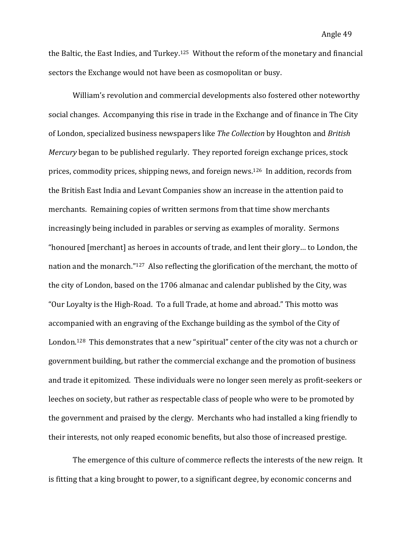the Baltic, the East Indies, and Turkey.<sup>125</sup> Without the reform of the monetary and financial sectors the Exchange would not have been as cosmopolitan or busy.

William's revolution and commercial developments also fostered other noteworthy social changes. Accompanying this rise in trade in the Exchange and of finance in The City of London, specialized business newspapers like *The Collection* by Houghton and *British Mercury* began to be published regularly. They reported foreign exchange prices, stock prices, commodity prices, shipping news, and foreign news.<sup>126</sup> In addition, records from the British East India and Levant Companies show an increase in the attention paid to merchants. Remaining copies of written sermons from that time show merchants increasingly being included in parables or serving as examples of morality. Sermons "honoured [merchant] as heroes in accounts of trade, and lent their glory... to London, the nation and the monarch."<sup>127</sup> Also reflecting the glorification of the merchant, the motto of the city of London, based on the 1706 almanac and calendar published by the City, was "Our Loyalty is the High-Road. To a full Trade, at home and abroad." This motto was accompanied with an engraving of the Exchange building as the symbol of the City of London.<sup>128</sup> This demonstrates that a new "spiritual" center of the city was not a church or government building, but rather the commercial exchange and the promotion of business and trade it epitomized. These individuals were no longer seen merely as profit-seekers or leeches on society, but rather as respectable class of people who were to be promoted by the government and praised by the clergy. Merchants who had installed a king friendly to their interests, not only reaped economic benefits, but also those of increased prestige.

The emergence of this culture of commerce reflects the interests of the new reign. It is fitting that a king brought to power, to a significant degree, by economic concerns and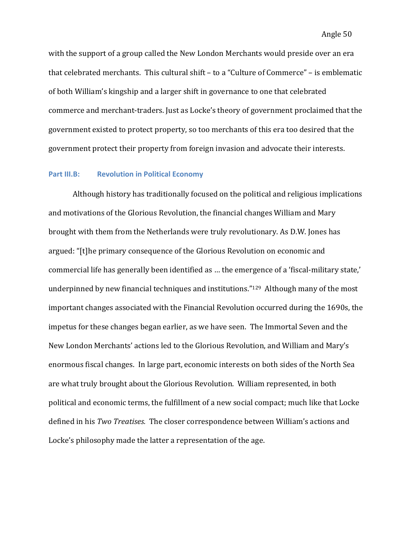with the support of a group called the New London Merchants would preside over an era that celebrated merchants. This cultural shift – to a "Culture of Commerce" – is emblematic of both William's kingship and a larger shift in governance to one that celebrated commerce and merchant-traders. Just as Locke's theory of government proclaimed that the government existed to protect property, so too merchants of this era too desired that the government protect their property from foreign invasion and advocate their interests.

### **Part III.B: Revolution in Political Economy**

Although history has traditionally focused on the political and religious implications and motivations of the Glorious Revolution, the financial changes William and Mary brought with them from the Netherlands were truly revolutionary. As D.W. Jones has argued: "[t]he primary consequence of the Glorious Revolution on economic and commercial life has generally been identified as ... the emergence of a 'fiscal-military state,' underpinned by new financial techniques and institutions."<sup>129</sup> Although many of the most important changes associated with the Financial Revolution occurred during the 1690s, the impetus for these changes began earlier, as we have seen. The Immortal Seven and the New London Merchants' actions led to the Glorious Revolution, and William and Mary's enormous fiscal changes. In large part, economic interests on both sides of the North Sea are what truly brought about the Glorious Revolution. William represented, in both political and economic terms, the fulfillment of a new social compact; much like that Locke defined in his *Two Treatises.* The closer correspondence between William's actions and Locke's philosophy made the latter a representation of the age.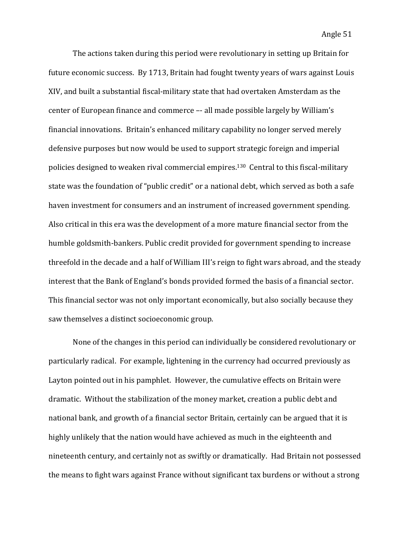The actions taken during this period were revolutionary in setting up Britain for future economic success. By 1713, Britain had fought twenty years of wars against Louis XIV, and built a substantial fiscal-military state that had overtaken Amsterdam as the center of European finance and commerce -- all made possible largely by William's financial innovations. Britain's enhanced military capability no longer served merely defensive purposes but now would be used to support strategic foreign and imperial policies designed to weaken rival commercial empires.<sup>130</sup> Central to this fiscal-military state was the foundation of "public credit" or a national debt, which served as both a safe haven investment for consumers and an instrument of increased government spending. Also critical in this era was the development of a more mature financial sector from the humble goldsmith-bankers. Public credit provided for government spending to increase threefold in the decade and a half of William III's reign to fight wars abroad, and the steady interest that the Bank of England's bonds provided formed the basis of a financial sector. This financial sector was not only important economically, but also socially because they saw themselves a distinct socioeconomic group.

None of the changes in this period can individually be considered revolutionary or particularly radical. For example, lightening in the currency had occurred previously as Layton pointed out in his pamphlet. However, the cumulative effects on Britain were dramatic. Without the stabilization of the money market, creation a public debt and national bank, and growth of a financial sector Britain, certainly can be argued that it is highly unlikely that the nation would have achieved as much in the eighteenth and nineteenth century, and certainly not as swiftly or dramatically. Had Britain not possessed the means to fight wars against France without significant tax burdens or without a strong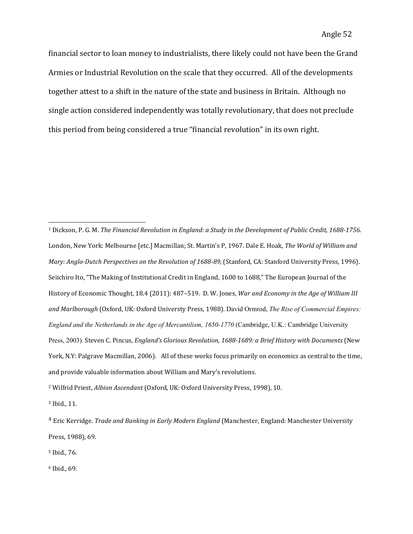financial sector to loan money to industrialists, there likely could not have been the Grand Armies or Industrial Revolution on the scale that they occurred. All of the developments together attest to a shift in the nature of the state and business in Britain. Although no single action considered independently was totally revolutionary, that does not preclude this period from being considered a true "financial revolution" in its own right.

<sup>1</sup> Dickson, P. G. M. *The Financial Revolution in England: a Study in the Development of Public Credit, 1688-1756.* London, New York: Melbourne [etc.] Macmillan; St. Martin's P, 1967. Dale E. Hoak, The World of William and *Mary: Anglo-Dutch Perspectives on the Revolution of 1688-89,* (Stanford, CA: Stanford University Press, 1996). Seiichiro Ito, "The Making of Institutional Credit in England, 1600 to 1688," The European Journal of the History of Economic Thought, 18.4 (2011): 487-519. D. W. Jones, *War and Economy in the Age of William III* and Marlborough (Oxford, UK: Oxford Universty Press, 1988). David Ormrod, *The Rise of Commercial Empires: England and the Netherlands in the Age of Mercantilism, 1650-1770* (Cambridge, U.K.: Cambridge University Press, 2003). Steven C. Pincus, *England's Glorious Revolution, 1688-1689: a Brief History with Documents* (New York, N.Y: Palgrave Macmillan, 2006). All of these works focus primarily on economics as central to the time, and provide valuable information about William and Mary's revolutions.

<sup>2</sup> Wilfrid Priest, *Albion Ascendant* (Oxford, UK: Oxford University Press, 1998), 10.

<sup>3</sup> Ibid., 11.

 

5 Ibid., 76. 

 $6$  Ibid., 69.

<sup>&</sup>lt;sup>4</sup> Eric Kerridge. *Trade and Banking in Early Modern England* (Manchester, England: Manchester University Press, 1988), 69.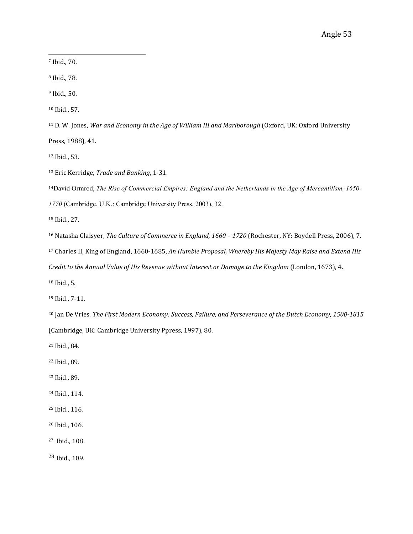7 Ibid., 70.

8 Ibid., 78.

 $9$  Ibid., 50.

<sup>10</sup> Ibid., 57.

<sup>11</sup> D. W. Jones, War and Economy in the Age of William III and Marlborough (Oxford, UK: Oxford University

Press, 1988), 41.

<sup>12</sup> Ibid., 53.

<sup>13</sup> Eric Kerridge, *Trade and Banking*, 1-31.

 

<sup>14</sup>David Ormrod, *The Rise of Commercial Empires: England and the Netherlands in the Age of Mercantilism, 1650-*

*1770* (Cambridge, U.K.: Cambridge University Press, 2003), 32.

<sup>15</sup> Ibid., 27.

<sup>16</sup> Natasha Glaisyer, *The Culture of Commerce in England,* 1660 - 1720 (Rochester, NY: Boydell Press, 2006), 7.

<sup>17</sup> Charles II, King of England, 1660-1685, An Humble Proposal, Whereby His Majesty May Raise and Extend His

*Credit to the Annual Value of His Revenue without Interest or Damage to the Kingdom* (London, 1673), 4.

 $18$  Ibid., 5.

<sup>19</sup> Ibid., 7-11.

<sup>20</sup> Jan De Vries. *The First Modern Economy: Success, Failure, and Perseverance of the Dutch Economy, 1500-1815* (Cambridge, UK: Cambridge University Ppress, 1997), 80.

<sup>21</sup> Ibid., 84.

22 Ibid., 89.

<sup>23</sup> Ibid., 89.

<sup>24</sup> Ibid., 114.

<sup>25</sup> Ibid., 116.

<sup>26</sup> Ibid., 106.

<sup>27</sup> Ibid., 108.

<sup>28</sup> Ibid., 109.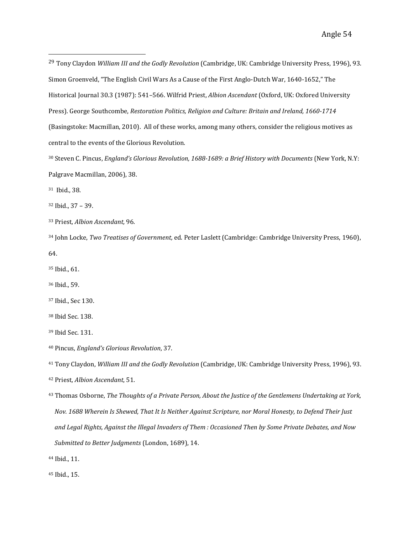<sup>29</sup> Tony Claydon *William III and the Godly Revolution* (Cambridge, UK: Cambridge University Press, 1996), 93. Simon Groenveld, "The English Civil Wars As a Cause of the First Anglo-Dutch War, 1640-1652," The Historical Journal 30.3 (1987): 541-566. Wilfrid Priest, *Albion Ascendant* (Oxford, UK: Oxfored University Press). George Southcombe, *Restoration Politics, Religion and Culture: Britain and Ireland, 1660-1714* (Basingstoke: Macmillan, 2010). All of these works, among many others, consider the religious motives as central to the events of the Glorious Revolution.

30 Steven C. Pincus, *England's Glorious Revolution, 1688-1689: a Brief History with Documents* (New York, N.Y: Palgrave Macmillan, 2006), 38.

<sup>31</sup> Ibid., 38.

32 Ibid., 37 - 39.

33 Priest, *Albion Ascendant,* 96. 

 

<sup>34</sup> John Locke, *Two Treatises of Government*, ed. Peter Laslett (Cambridge: Cambridge University Press, 1960),

64. 

<sup>35</sup> Ibid., 61.

<sup>36</sup> Ibid., 59.

<sup>37</sup> Ibid., Sec 130.

<sup>38</sup> Ibid Sec. 138.

<sup>39</sup> Ibid Sec. 131.

40 Pincus, *England's Glorious Revolution*, 37.

<sup>41</sup> Tony Claydon, *William III and the Godly Revolution* (Cambridge, UK: Cambridge University Press, 1996), 93.

<sup>42</sup> Priest, *Albion Ascendant*, 51.

<sup>43</sup> Thomas Osborne, *The Thoughts of a Private Person, About the Justice of the Gentlemens Undertaking at York, Nov.* 1688 Wherein Is Shewed, That It Is Neither Against Scripture, nor Moral Honesty, to Defend Their Just and Legal Rights, Against the Illegal Invaders of Them *: Occasioned Then by Some Private Debates, and Now Submitted to Better Judgments* (London, 1689), 14.

44 Ibid., 11.

45 Ibid., 15.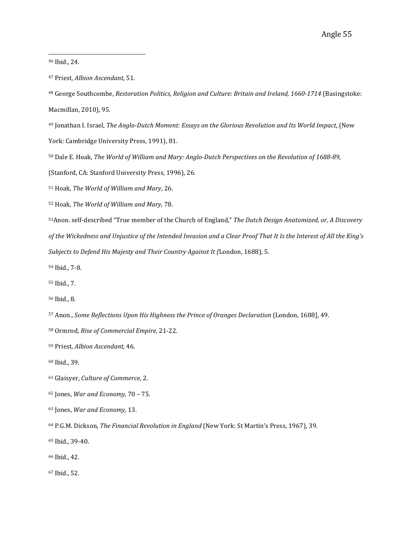46 Ibid., 24.

 

<sup>48</sup> George Southcombe, *Restoration Politics, Religion and Culture: Britain and Ireland, 1660-1714* (Basingstoke: Macmillan, 2010), 95.

<sup>49</sup> Jonathan I. Israel, *The Anglo-Dutch Moment: Essays on the Glorious Revolution and Its World Impact*, (New York: Cambridge University Press, 1991), 81.

50 Dale E. Hoak, *The World of William and Mary: Anglo-Dutch Perspectives on the Revolution of 1688-89,* 

(Stanford, CA: Stanford University Press, 1996), 26.

<sup>51</sup> Hoak, *The World of William and Mary*, 26.

52 Hoak, The World of William and Mary, 78.

53Anon. self-described "True member of the Church of England," *The Dutch Design Anatomized, or, A Discovery* of the Wickedness and Unjustice of the Intended Invasion and a Clear Proof That It Is the Interest of All the King's *Subjects to Defend His Majesty and Their Country Against It (London, 1688), 5.* 

54 Ibid., 7-8. 

55 Ibid., 7. 

56 Ibid., 8. 

- 57 Anon., *Some Reflections Upon His Highness the Prince of Oranges Declaration* (London, 1688], 49.
- 58 Ormrod, *Rise of Commercial Empire*, 21-22.

59 Priest, *Albion Ascendant*, 46.

60 Ibid., 39.

61 Glaisyer, *Culture of Commerce*, 2. 

- <sup>62</sup> Jones, *War and Economy*, 70 75.
- <sup>63</sup> Jones, *War and Economy*, 13.

<sup>64</sup> P.G.M. Dickson, *The Financial Revolution in England* (New York: St Martin's Press, 1967), 39.

<sup>65</sup> Ibid., 39-40.

66 Ibid., 42.

67 Ibid., 52.

<sup>&</sup>lt;sup>47</sup> Priest, *Albion Ascendant*, 51.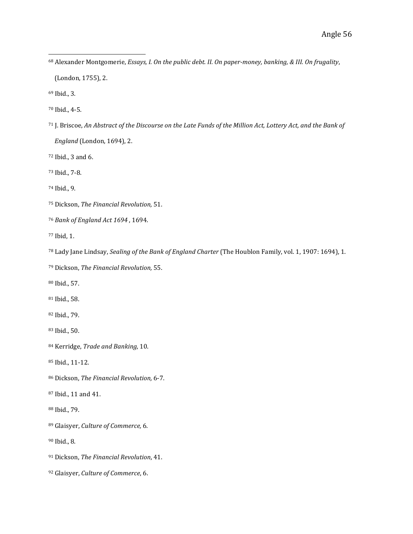- 68 Alexander Montgomerie, *Essays, I. On the public debt. II. On paper-money, banking, & III. On frugality*,
	- (London, 1755), 2.

 

- <sup>69</sup> Ibid., 3.
- 70 Ibid., 4-5.
- <sup>71</sup> J. Briscoe, *An Abstract of the Discourse on the Late Funds of the Million Act, Lottery Act, and the Bank of England* (London, 1694), 2.
- $72$  Ibid., 3 and 6.
- 73 Ibid., 7-8.
- 74 Ibid., 9.
- <sup>75</sup> Dickson, *The Financial Revolution*, 51.
- <sup>76</sup> Bank of England Act 1694, 1694.
- 77 Ibid, 1.
- <sup>78</sup> Lady Jane Lindsay, *Sealing of the Bank of England Charter* (The Houblon Family, vol. 1, 1907: 1694), 1.
- 79 Dickson, *The Financial Revolution*, 55.
- 80 Ibid., 57.
- 81 Ibid., 58.
- 82 Ibid., 79.
- <sup>83</sup> Ibid., 50.
- 84 Kerridge, *Trade and Banking*, 10.
- 85 Ibid., 11-12.
- <sup>86</sup> Dickson, *The Financial Revolution*, 6-7.
- <sup>87</sup> Ibid., 11 and 41.
- 88 Ibid., 79.
- 89 Glaisyer, *Culture of Commerce*, 6.
- <sup>90</sup> Ibid., 8.
- <sup>91</sup> Dickson, *The Financial Revolution*, 41.
- <sup>92</sup> Glaisyer, *Culture of Commerce*, 6.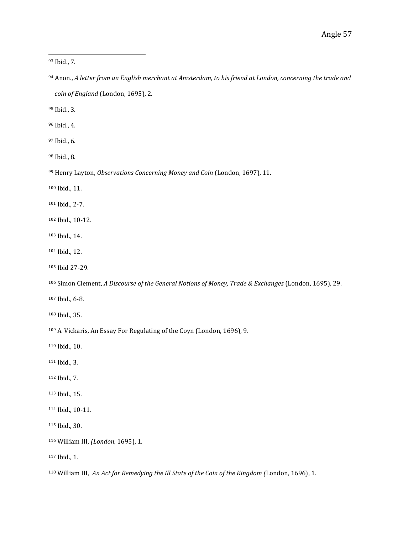<sup>93</sup> Ibid., 7.

 

94 Anon., A letter from an English merchant at Amsterdam, to his friend at London, concerning the trade and *coin of England* (London, 1695), 2.

<sup>95</sup> Ibid., 3.

<sup>96</sup> Ibid., 4.

97 Ibid., 6.

<sup>98</sup> Ibid., 8.

<sup>99</sup> Henry Layton, *Observations Concerning Money and Coin* (London, 1697), 11.

100 Ibid., 11.

101 Ibid., 2-7.

102 Ibid., 10-12.

- 103 Ibid., 14.
- 104 Ibid., 12.
- 105 Ibid 27-29.

<sup>106</sup> Simon Clement, *A Discourse of the General Notions of Money, Trade & Exchanges* (London, 1695), 29.

107 Ibid., 6-8.

108 Ibid., 35.

<sup>109</sup> A. Vickaris, An Essay For Regulating of the Coyn (London, 1696), 9.

110 Ibid., 10.

111 Ibid., 3.

112 Ibid., 7.

113 Ibid., 15.

114 Ibid., 10-11.

115 Ibid., 30.

116 William III, (London, 1695), 1.

117 Ibid., 1.

<sup>118</sup> William III, An Act for Remedying the Ill State of the Coin of the Kingdom (London, 1696), 1.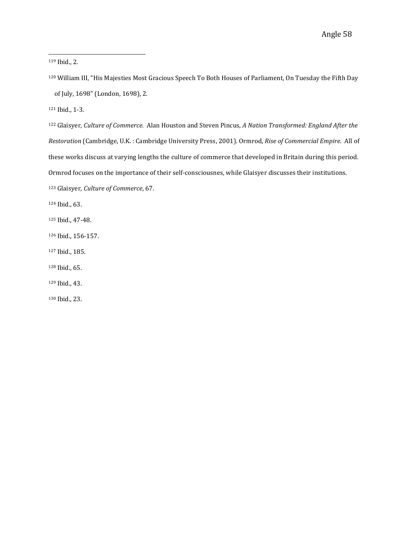119 Ibid., 2.

<sup>120</sup> William III, "His Majesties Most Gracious Speech To Both Houses of Parliament, On Tuesday the Fifth Day of July, 1698" (London, 1698), 2.

121 Ibid., 1-3.

122 Glaisyer, Culture of Commerce. Alan Houston and Steven Pincus, A Nation Transformed: England After the *Restoration* (Cambridge, U.K.: Cambridge University Press, 2001). Ormrod, Rise of Commercial Empire. All of these works discuss at varying lengths the culture of commerce that developed in Britain during this period. Ormrod focuses on the importance of their self-consciousnes, while Glaisyer discusses their institutions.

123 Glaisyer, *Culture of Commerce*, 67.

 

124 Ibid., 63.

125 Ibid., 47-48.

- 126 Ibid., 156-157.
- 127 Ibid., 185.
- 128 Ibid., 65.

129 Ibid., 43.

130 Ibid., 23.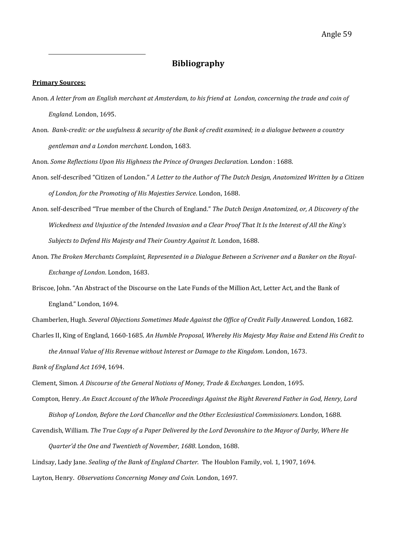# **Bibliography**

#### **Primary Sources:**

 

- Anon. A letter from an English merchant at Amsterdam, to his friend at London, concerning the trade and coin of England. London, 1695.
- Anon. Bank-credit: or the usefulness & security of the Bank of credit examined; in a dialogue between a country gentleman and a London merchant. London, 1683.

Anon. Some Reflections Upon His Highness the Prince of Oranges Declaration. London : 1688.

- Anon. self-described "Citizen of London." *A Letter to the Author of The Dutch Design, Anatomized Written by a Citizen* of London, for the Promoting of His Majesties Service. London, 1688.
- Anon. self-described "True member of the Church of England." *The Dutch Design Anatomized, or, A Discovery of the* Wickedness and Unjustice of the Intended Invasion and a Clear Proof That It Is the Interest of All the King's Subjects to Defend His Majesty and Their Country Against It. London, 1688.
- Anon. The Broken Merchants Complaint, Represented in a Dialogue Between a Scrivener and a Banker on the Royal-*Exchange of London*. London, 1683.
- Briscoe, John. "An Abstract of the Discourse on the Late Funds of the Million Act, Letter Act, and the Bank of England." London, 1694.

Chamberlen, Hugh. *Several Objections Sometimes Made Against the Office of Credit Fully Answered*. London, 1682.

Charles II, King of England, 1660-1685. An Humble Proposal, Whereby His Majesty May Raise and Extend His Credit to *the Annual Value of His Revenue without Interest or Damage to the Kingdom.* London, 1673.

*Bank of England Act 1694*, 1694. 

- Clement, Simon. A Discourse of the General Notions of Money, Trade & Exchanges. London, 1695.
- Compton, Henry. An Exact Account of the Whole Proceedings Against the Right Reverend Father in God, Henry, Lord *Bishop of London, Before the Lord Chancellor and the Other Ecclesiastical Commissioners.* London, 1688.

Cavendish, William. The True Copy of a Paper Delivered by the Lord Devonshire to the Mayor of Darby, Where He

Quarter'd the One and Twentieth of November, 1688. London, 1688.

Lindsay, Lady Jane. *Sealing of the Bank of England Charter*. The Houblon Family, vol. 1, 1907, 1694.

Layton, Henry. Observations Concerning Money and Coin. London, 1697.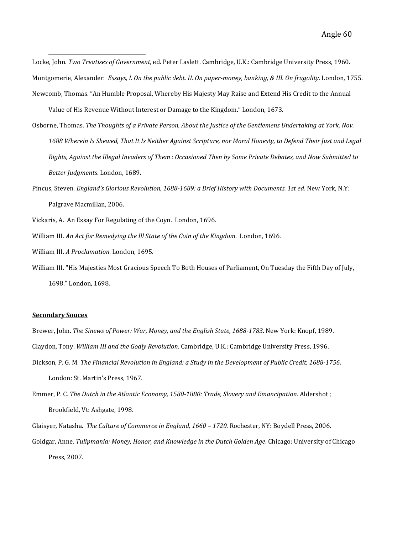Locke, John. Two Treatises of Government, ed. Peter Laslett. Cambridge, U.K.: Cambridge University Press, 1960. Montgomerie, Alexander. *Essays, I. On the public debt. II. On paper-money, banking, & III. On frugality*. London, 1755. Newcomb, Thomas. "An Humble Proposal, Whereby His Majesty May Raise and Extend His Credit to the Annual

Value of His Revenue Without Interest or Damage to the Kingdom." London, 1673.

- Osborne, Thomas. The Thoughts of a Private Person, About the Justice of the Gentlemens Undertaking at York, Nov. 1688 Wherein Is Shewed, That It Is Neither Against Scripture, nor Moral Honesty, to Defend Their Just and Legal *Rights, Against the Illegal Invaders of Them : Occasioned Then by Some Private Debates, and Now Submitted to Better Judgments*. London, 1689.
- Pincus, Steven. *England's Glorious Revolution, 1688-1689: a Brief History with Documents. 1st ed.* New York, N.Y: Palgrave Macmillan, 2006.
- Vickaris, A. An Essay For Regulating of the Coyn. London, 1696.
- William III. An Act for Remedying the III State of the Coin of the Kingdom. London, 1696.
- William III. A Proclamation. London, 1695.

 

William III. "His Majesties Most Gracious Speech To Both Houses of Parliament, On Tuesday the Fifth Day of July, 1698." London, 1698.

#### **Secondary Souces**

Brewer, John. *The Sinews of Power: War, Money, and the English State, 1688-1783*. New York: Knopf, 1989.

- Claydon, Tony. *William III and the Godly Revolution*. Cambridge, U.K.: Cambridge University Press, 1996.
- Dickson, P. G. M. The Financial Revolution in England: a Study in the Development of Public Credit, 1688-1756.

London: St. Martin's Press, 1967.

Emmer, P. C. The Dutch in the Atlantic Economy, 1580-1880: Trade, Slavery and Emancipation. Aldershot ; Brookfield, Vt: Ashgate, 1998.

Glaisyer, Natasha. The Culture of Commerce in England, 1660 - 1720. Rochester, NY: Boydell Press, 2006. Goldgar, Anne. Tulipmania: Money, Honor, and Knowledge in the Dutch Golden Age. Chicago: University of Chicago Press, 2007.